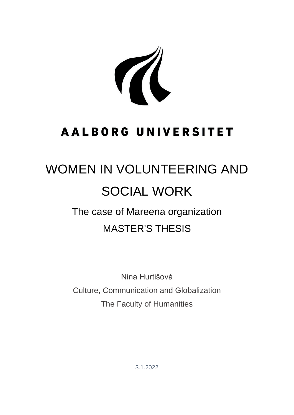A

# **AALBORG UNIVERSITET**

# WOMEN IN VOLUNTEERING AND SOCIAL WORK

# The case of Mareena organization MASTER'S THESIS

Nina Hurtišová Culture, Communication and Globalization The Faculty of Humanities

3.1.2022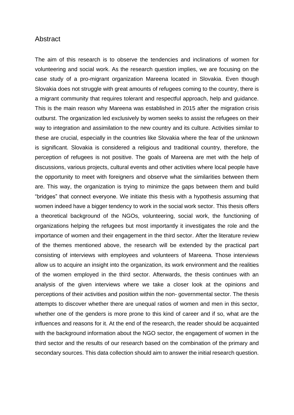## Abstract

The aim of this research is to observe the tendencies and inclinations of women for volunteering and social work. As the research question implies, we are focusing on the case study of a pro-migrant organization Mareena located in Slovakia. Even though Slovakia does not struggle with great amounts of refugees coming to the country, there is a migrant community that requires tolerant and respectful approach, help and guidance. This is the main reason why Mareena was established in 2015 after the migration crisis outburst. The organization led exclusively by women seeks to assist the refugees on their way to integration and assimilation to the new country and its culture. Activities similar to these are crucial, especially in the countries like Slovakia where the fear of the unknown is significant. Slovakia is considered a religious and traditional country, therefore, the perception of refugees is not positive. The goals of Mareena are met with the help of discussions, various projects, cultural events and other activities where local people have the opportunity to meet with foreigners and observe what the similarities between them are. This way, the organization is trying to minimize the gaps between them and build "bridges" that connect everyone. We initiate this thesis with a hypothesis assuming that women indeed have a bigger tendency to work in the social work sector. This thesis offers a theoretical background of the NGOs, volunteering, social work, the functioning of organizations helping the refugees but most importantly it investigates the role and the importance of women and their engagement in the third sector. After the literature review of the themes mentioned above, the research will be extended by the practical part consisting of interviews with employees and volunteers of Mareena. Those interviews allow us to acquire an insight into the organization, its work environment and the realities of the women employed in the third sector. Afterwards, the thesis continues with an analysis of the given interviews where we take a closer look at the opinions and perceptions of their activities and position within the non- governmental sector. The thesis attempts to discover whether there are unequal ratios of women and men in this sector, whether one of the genders is more prone to this kind of career and if so, what are the influences and reasons for it. At the end of the research, the reader should be acquainted with the background information about the NGO sector, the engagement of women in the third sector and the results of our research based on the combination of the primary and secondary sources. This data collection should aim to answer the initial research question.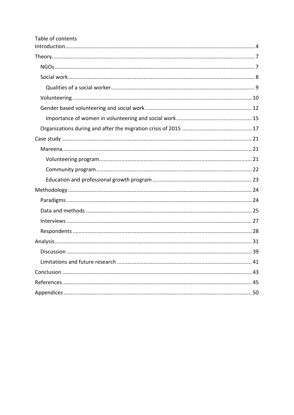| Table of contents |  |
|-------------------|--|
|                   |  |
|                   |  |
|                   |  |
|                   |  |
|                   |  |
|                   |  |
|                   |  |
|                   |  |
|                   |  |
|                   |  |
|                   |  |
|                   |  |
|                   |  |
|                   |  |
|                   |  |
|                   |  |
|                   |  |
|                   |  |
|                   |  |
|                   |  |
|                   |  |
|                   |  |
|                   |  |
|                   |  |
|                   |  |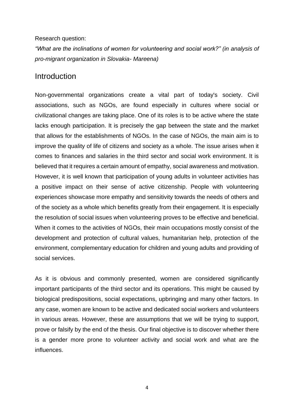### Research question:

*"What are the inclinations of women for volunteering and social work?" (in analysis of pro-migrant organization in Slovakia- Mareena)*

# <span id="page-3-0"></span>Introduction

Non-governmental organizations create a vital part of today's society. Civil associations, such as NGOs, are found especially in cultures where social or civilizational changes are taking place. One of its roles is to be active where the state lacks enough participation. It is precisely the gap between the state and the market that allows for the establishments of NGOs. In the case of NGOs, the main aim is to improve the quality of life of citizens and society as a whole. The issue arises when it comes to finances and salaries in the third sector and social work environment. It is believed that it requires a certain amount of empathy, social awareness and motivation. However, it is well known that participation of young adults in volunteer activities has a positive impact on their sense of active citizenship. People with volunteering experiences showcase more empathy and sensitivity towards the needs of others and of the society as a whole which benefits greatly from their engagement. It is especially the resolution of social issues when volunteering proves to be effective and beneficial. When it comes to the activities of NGOs, their main occupations mostly consist of the development and protection of cultural values, humanitarian help, protection of the environment, complementary education for children and young adults and providing of social services.

As it is obvious and commonly presented, women are considered significantly important participants of the third sector and its operations. This might be caused by biological predispositions, social expectations, upbringing and many other factors. In any case, women are known to be active and dedicated social workers and volunteers in various areas. However, these are assumptions that we will be trying to support, prove or falsify by the end of the thesis. Our final objective is to discover whether there is a gender more prone to volunteer activity and social work and what are the influences.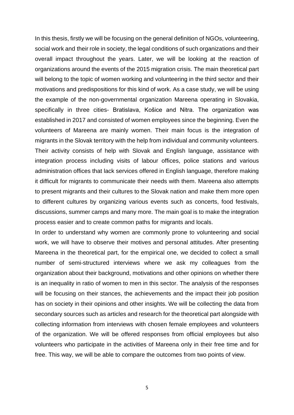In this thesis, firstly we will be focusing on the general definition of NGOs, volunteering, social work and their role in society, the legal conditions of such organizations and their overall impact throughout the years. Later, we will be looking at the reaction of organizations around the events of the 2015 migration crisis. The main theoretical part will belong to the topic of women working and volunteering in the third sector and their motivations and predispositions for this kind of work. As a case study, we will be using the example of the non-governmental organization Mareena operating in Slovakia, specifically in three cities- Bratislava, Košice and Nitra. The organization was established in 2017 and consisted of women employees since the beginning. Even the volunteers of Mareena are mainly women. Their main focus is the integration of migrants in the Slovak territory with the help from individual and community volunteers. Their activity consists of help with Slovak and English language, assistance with integration process including visits of labour offices, police stations and various administration offices that lack services offered in English language, therefore making it difficult for migrants to communicate their needs with them. Mareena also attempts to present migrants and their cultures to the Slovak nation and make them more open to different cultures by organizing various events such as concerts, food festivals, discussions, summer camps and many more. The main goal is to make the integration process easier and to create common paths for migrants and locals.

In order to understand why women are commonly prone to volunteering and social work, we will have to observe their motives and personal attitudes. After presenting Mareena in the theoretical part, for the empirical one, we decided to collect a small number of semi-structured interviews where we ask my colleagues from the organization about their background, motivations and other opinions on whether there is an inequality in ratio of women to men in this sector. The analysis of the responses will be focusing on their stances, the achievements and the impact their job position has on society in their opinions and other insights. We will be collecting the data from secondary sources such as articles and research for the theoretical part alongside with collecting information from interviews with chosen female employees and volunteers of the organization. We will be offered responses from official employees but also volunteers who participate in the activities of Mareena only in their free time and for free. This way, we will be able to compare the outcomes from two points of view.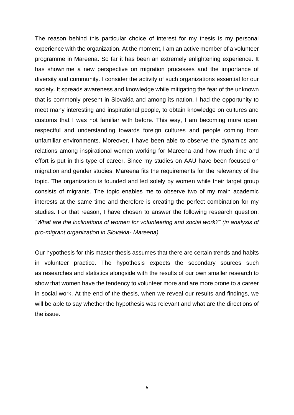The reason behind this particular choice of interest for my thesis is my personal experience with the organization. At the moment, I am an active member of a volunteer programme in Mareena. So far it has been an extremely enlightening experience. It has shown me a new perspective on migration processes and the importance of diversity and community. I consider the activity of such organizations essential for our society. It spreads awareness and knowledge while mitigating the fear of the unknown that is commonly present in Slovakia and among its nation. I had the opportunity to meet many interesting and inspirational people, to obtain knowledge on cultures and customs that I was not familiar with before. This way, I am becoming more open, respectful and understanding towards foreign cultures and people coming from unfamiliar environments. Moreover, I have been able to observe the dynamics and relations among inspirational women working for Mareena and how much time and effort is put in this type of career. Since my studies on AAU have been focused on migration and gender studies, Mareena fits the requirements for the relevancy of the topic. The organization is founded and led solely by women while their target group consists of migrants. The topic enables me to observe two of my main academic interests at the same time and therefore is creating the perfect combination for my studies. For that reason, I have chosen to answer the following research question: *"What are the inclinations of women for volunteering and social work?" (in analysis of pro-migrant organization in Slovakia- Mareena)*

Our hypothesis for this master thesis assumes that there are certain trends and habits in volunteer practice. The hypothesis expects the secondary sources such as researches and statistics alongside with the results of our own smaller research to show that women have the tendency to volunteer more and are more prone to a career in social work. At the end of the thesis, when we reveal our results and findings, we will be able to say whether the hypothesis was relevant and what are the directions of the issue.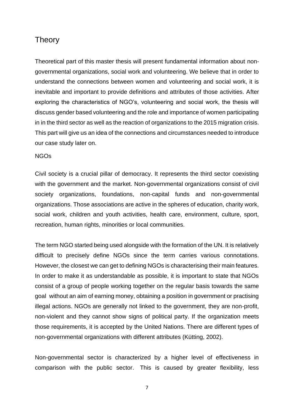# <span id="page-6-0"></span>Theory

Theoretical part of this master thesis will present fundamental information about nongovernmental organizations, social work and volunteering. We believe that in order to understand the connections between women and volunteering and social work, it is inevitable and important to provide definitions and attributes of those activities. After exploring the characteristics of NGO's, volunteering and social work, the thesis will discuss gender based volunteering and the role and importance of women participating in in the third sector as well as the reaction of organizations to the 2015 migration crisis. This part will give us an idea of the connections and circumstances needed to introduce our case study later on.

## <span id="page-6-1"></span>NGOs

Civil society is a crucial pillar of democracy. It represents the third sector coexisting with the government and the market. Non-governmental organizations consist of civil society organizations, foundations, non-capital funds and non-governmental organizations. Those associations are active in the spheres of education, charity work, social work, children and youth activities, health care, environment, culture, sport, recreation, human rights, minorities or local communities.

The term NGO started being used alongside with the formation of the UN. It is relatively difficult to precisely define NGOs since the term carries various connotations. However, the closest we can get to defining NGOs is characterising their main features. In order to make it as understandable as possible, it is important to state that NGOs consist of a group of people working together on the regular basis towards the same goal without an aim of earning money, obtaining a position in government or practising illegal actions. NGOs are generally not linked to the government, they are non-profit, non-violent and they cannot show signs of political party. If the organization meets those requirements, it is accepted by the United Nations. There are different types of non-governmental organizations with different attributes (Kütting, 2002).

Non-governmental sector is characterized by a higher level of effectiveness in comparison with the public sector. This is caused by greater flexibility, less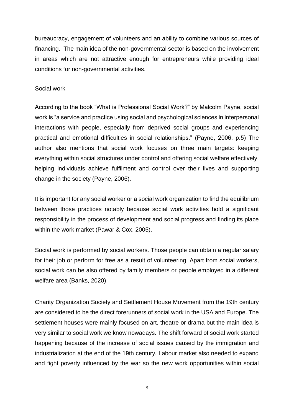bureaucracy, engagement of volunteers and an ability to combine various sources of financing. The main idea of the non-governmental sector is based on the involvement in areas which are not attractive enough for entrepreneurs while providing ideal conditions for non-governmental activities.

## <span id="page-7-0"></span>Social work

According to the book "What is Professional Social Work?" by Malcolm Payne, social work is "a service and practice using social and psychological sciences in interpersonal interactions with people, especially from deprived social groups and experiencing practical and emotional difficulties in social relationships." (Payne, 2006, p.5) The author also mentions that social work focuses on three main targets: keeping everything within social structures under control and offering social welfare effectively, helping individuals achieve fulfilment and control over their lives and supporting change in the society (Payne, 2006).

It is important for any social worker or a social work organization to find the equilibrium between those practices notably because social work activities hold a significant responsibility in the process of development and social progress and finding its place within the work market (Pawar & Cox, 2005).

Social work is performed by social workers. Those people can obtain a regular salary for their job or perform for free as a result of volunteering. Apart from social workers, social work can be also offered by family members or people employed in a different welfare area (Banks, 2020).

Charity Organization Society and Settlement House Movement from the 19th century are considered to be the direct forerunners of social work in the USA and Europe. The settlement houses were mainly focused on art, theatre or drama but the main idea is very similar to social work we know nowadays. The shift forward of social work started happening because of the increase of social issues caused by the immigration and industrialization at the end of the 19th century. Labour market also needed to expand and fight poverty influenced by the war so the new work opportunities within social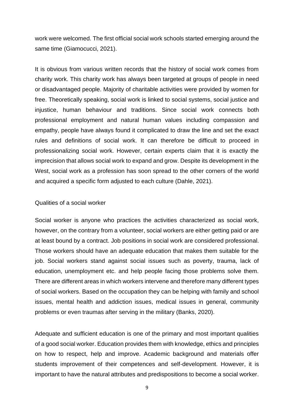work were welcomed. The first official social work schools started emerging around the same time (Giamocucci, 2021).

It is obvious from various written records that the history of social work comes from charity work. This charity work has always been targeted at groups of people in need or disadvantaged people. Majority of charitable activities were provided by women for free. Theoretically speaking, social work is linked to social systems, social justice and injustice, human behaviour and traditions. Since social work connects both professional employment and natural human values including compassion and empathy, people have always found it complicated to draw the line and set the exact rules and definitions of social work. It can therefore be difficult to proceed in professionalizing social work. However, certain experts claim that it is exactly the imprecision that allows social work to expand and grow. Despite its development in the West, social work as a profession has soon spread to the other corners of the world and acquired a specific form adjusted to each culture (Dahle, 2021).

## <span id="page-8-0"></span>Qualities of a social worker

Social worker is anyone who practices the activities characterized as social work, however, on the contrary from a volunteer, social workers are either getting paid or are at least bound by a contract. Job positions in social work are considered professional. Those workers should have an adequate education that makes them suitable for the job. Social workers stand against social issues such as poverty, trauma, lack of education, unemployment etc. and help people facing those problems solve them. There are different areas in which workers intervene and therefore many different types of social workers. Based on the occupation they can be helping with family and school issues, mental health and addiction issues, medical issues in general, community problems or even traumas after serving in the military (Banks, 2020).

Adequate and sufficient education is one of the primary and most important qualities of a good social worker. Education provides them with knowledge, ethics and principles on how to respect, help and improve. Academic background and materials offer students improvement of their competences and self-development. However, it is important to have the natural attributes and predispositions to become a social worker.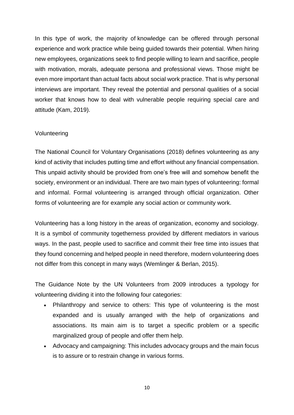In this type of work, the majority of knowledge can be offered through personal experience and work practice while being guided towards their potential. When hiring new employees, organizations seek to find people willing to learn and sacrifice, people with motivation, morals, adequate persona and professional views. Those might be even more important than actual facts about social work practice. That is why personal interviews are important. They reveal the potential and personal qualities of a social worker that knows how to deal with vulnerable people requiring special care and attitude (Kam, 2019).

## <span id="page-9-0"></span>Volunteering

The National Council for Voluntary Organisations (2018) defines volunteering as any kind of activity that includes putting time and effort without any financial compensation. This unpaid activity should be provided from one's free will and somehow benefit the society, environment or an individual. There are two main types of volunteering: formal and informal. Formal volunteering is arranged through official organization. Other forms of volunteering are for example any social action or community work.

Volunteering has a long history in the areas of organization, economy and sociology. It is a symbol of community togetherness provided by different mediators in various ways. In the past, people used to sacrifice and commit their free time into issues that they found concerning and helped people in need therefore, modern volunteering does not differ from this concept in many ways (Wemlinger & Berlan, 2015).

The Guidance Note by the UN Volunteers from 2009 introduces a typology for volunteering dividing it into the following four categories:

- Philanthropy and service to others: This type of volunteering is the most expanded and is usually arranged with the help of organizations and associations. Its main aim is to target a specific problem or a specific marginalized group of people and offer them help.
- Advocacy and campaigning: This includes advocacy groups and the main focus is to assure or to restrain change in various forms.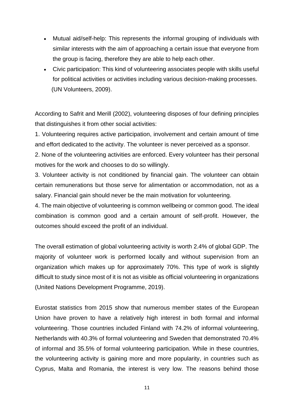- Mutual aid/self-help: This represents the informal grouping of individuals with similar interests with the aim of approaching a certain issue that everyone from the group is facing, therefore they are able to help each other.
- Civic participation: This kind of volunteering associates people with skills useful for political activities or activities including various decision-making processes. (UN Volunteers, 2009).

According to Safrit and Merill (2002), volunteering disposes of four defining principles that distinguishes it from other social activities:

1. Volunteering requires active participation, involvement and certain amount of time and effort dedicated to the activity. The volunteer is never perceived as a sponsor.

2. None of the volunteering activities are enforced. Every volunteer has their personal motives for the work and chooses to do so willingly.

3. Volunteer activity is not conditioned by financial gain. The volunteer can obtain certain remunerations but those serve for alimentation or accommodation, not as a salary. Financial gain should never be the main motivation for volunteering.

4. The main objective of volunteering is common wellbeing or common good. The ideal combination is common good and a certain amount of self-profit. However, the outcomes should exceed the profit of an individual.

The overall estimation of global volunteering activity is worth 2.4% of global GDP. The majority of volunteer work is performed locally and without supervision from an organization which makes up for approximately 70%. This type of work is slightly difficult to study since most of it is not as visible as official volunteering in organizations (United Nations Development Programme, 2019).

Eurostat statistics from 2015 show that numerous member states of the European Union have proven to have a relatively high interest in both formal and informal volunteering. Those countries included Finland with 74.2% of informal volunteering, Netherlands with 40.3% of formal volunteering and Sweden that demonstrated 70.4% of informal and 35.5% of formal volunteering participation. While in these countries, the volunteering activity is gaining more and more popularity, in countries such as Cyprus, Malta and Romania, the interest is very low. The reasons behind those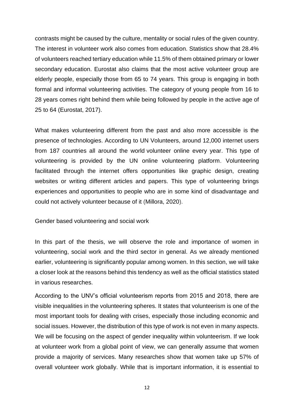contrasts might be caused by the culture, mentality or social rules of the given country. The interest in volunteer work also comes from education. Statistics show that 28.4% of volunteers reached tertiary education while 11.5% of them obtained primary or lower secondary education. Eurostat also claims that the most active volunteer group are elderly people, especially those from 65 to 74 years. This group is engaging in both formal and informal volunteering activities. The category of young people from 16 to 28 years comes right behind them while being followed by people in the active age of 25 to 64 (Eurostat, 2017).

What makes volunteering different from the past and also more accessible is the presence of technologies. According to UN Volunteers, around 12,000 internet users from 187 countries all around the world volunteer online every year. This type of volunteering is provided by the UN online volunteering platform. Volunteering facilitated through the internet offers opportunities like graphic design, creating websites or writing different articles and papers. This type of volunteering brings experiences and opportunities to people who are in some kind of disadvantage and could not actively volunteer because of it (Millora, 2020).

<span id="page-11-0"></span>Gender based volunteering and social work

In this part of the thesis, we will observe the role and importance of women in volunteering, social work and the third sector in general. As we already mentioned earlier, volunteering is significantly popular among women. In this section, we will take a closer look at the reasons behind this tendency as well as the official statistics stated in various researches.

According to the UNV's official volunteerism reports from 2015 and 2018, there are visible inequalities in the volunteering spheres. It states that volunteerism is one of the most important tools for dealing with crises, especially those including economic and social issues. However, the distribution of this type of work is not even in many aspects. We will be focusing on the aspect of gender inequality within volunteerism. If we look at volunteer work from a global point of view, we can generally assume that women provide a majority of services. Many researches show that women take up 57% of overall volunteer work globally. While that is important information, it is essential to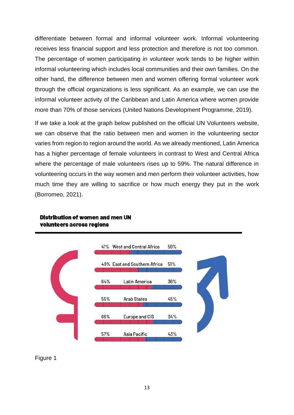differentiate between formal and informal volunteer work. Informal volunteering receives less financial support and less protection and therefore is not too common. The percentage of women participating in volunteer work tends to be higher within informal volunteering which includes local communities and their own families. On the other hand, the difference between men and women offering formal volunteer work through the official organizations is less significant. As an example, we can use the informal volunteer activity of the Caribbean and Latin America where women provide more than 70% of those services (United Nations Development Programme, 2019).

If we take a look at the graph below published on the official UN Volunteers website, we can observe that the ratio between men and women in the volunteering sector varies from region to region around the world. As we already mentioned, Latin America has a higher percentage of female volunteers in contrast to West and Central Africa where the percentage of male volunteers rises up to 59%. The natural difference in volunteering occurs in the way women and men perform their volunteer activities, how much time they are willing to sacrifice or how much energy they put in the work (Borromeo, 2021).



## **Distribution of women and men UN** volunteers across regions

## Figure 1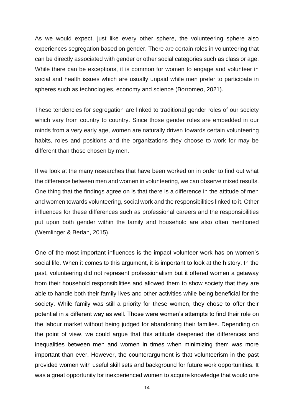As we would expect, just like every other sphere, the volunteering sphere also experiences segregation based on gender. There are certain roles in volunteering that can be directly associated with gender or other social categories such as class or age. While there can be exceptions, it is common for women to engage and volunteer in social and health issues which are usually unpaid while men prefer to participate in spheres such as technologies, economy and science (Borromeo, 2021).

These tendencies for segregation are linked to traditional gender roles of our society which vary from country to country. Since those gender roles are embedded in our minds from a very early age, women are naturally driven towards certain volunteering habits, roles and positions and the organizations they choose to work for may be different than those chosen by men.

If we look at the many researches that have been worked on in order to find out what the difference between men and women in volunteering, we can observe mixed results. One thing that the findings agree on is that there is a difference in the attitude of men and women towards volunteering, social work and the responsibilities linked to it. Other influences for these differences such as professional careers and the responsibilities put upon both gender within the family and household are also often mentioned (Wemlinger & Berlan, 2015).

One of the most important influences is the impact volunteer work has on women's social life. When it comes to this argument, it is important to look at the history. In the past, volunteering did not represent professionalism but it offered women a getaway from their household responsibilities and allowed them to show society that they are able to handle both their family lives and other activities while being beneficial for the society. While family was still a priority for these women, they chose to offer their potential in a different way as well. Those were women's attempts to find their role on the labour market without being judged for abandoning their families. Depending on the point of view, we could argue that this attitude deepened the differences and inequalities between men and women in times when minimizing them was more important than ever. However, the counterargument is that volunteerism in the past provided women with useful skill sets and background for future work opportunities. It was a great opportunity for inexperienced women to acquire knowledge that would one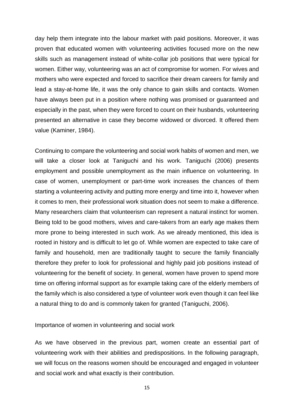day help them integrate into the labour market with paid positions. Moreover, it was proven that educated women with volunteering activities focused more on the new skills such as management instead of white-collar job positions that were typical for women. Either way, volunteering was an act of compromise for women. For wives and mothers who were expected and forced to sacrifice their dream careers for family and lead a stay-at-home life, it was the only chance to gain skills and contacts. Women have always been put in a position where nothing was promised or guaranteed and especially in the past, when they were forced to count on their husbands, volunteering presented an alternative in case they become widowed or divorced. It offered them value (Kaminer, 1984).

Continuing to compare the volunteering and social work habits of women and men, we will take a closer look at Taniguchi and his work. Taniguchi (2006) presents employment and possible unemployment as the main influence on volunteering. In case of women, unemployment or part-time work increases the chances of them starting a volunteering activity and putting more energy and time into it, however when it comes to men, their professional work situation does not seem to make a difference. Many researchers claim that volunteerism can represent a natural instinct for women. Being told to be good mothers, wives and care-takers from an early age makes them more prone to being interested in such work. As we already mentioned, this idea is rooted in history and is difficult to let go of. While women are expected to take care of family and household, men are traditionally taught to secure the family financially therefore they prefer to look for professional and highly paid job positions instead of volunteering for the benefit of society. In general, women have proven to spend more time on offering informal support as for example taking care of the elderly members of the family which is also considered a type of volunteer work even though it can feel like a natural thing to do and is commonly taken for granted (Taniguchi, 2006).

<span id="page-14-0"></span>Importance of women in volunteering and social work

As we have observed in the previous part, women create an essential part of volunteering work with their abilities and predispositions. In the following paragraph, we will focus on the reasons women should be encouraged and engaged in volunteer and social work and what exactly is their contribution.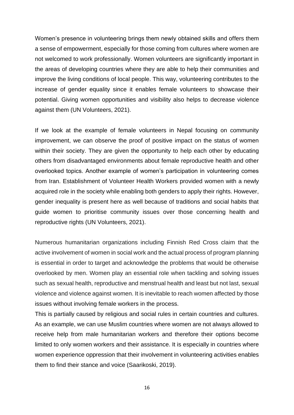Women's presence in volunteering brings them newly obtained skills and offers them a sense of empowerment, especially for those coming from cultures where women are not welcomed to work professionally. Women volunteers are significantly important in the areas of developing countries where they are able to help their communities and improve the living conditions of local people. This way, volunteering contributes to the increase of gender equality since it enables female volunteers to showcase their potential. Giving women opportunities and visibility also helps to decrease violence against them (UN Volunteers, 2021).

If we look at the example of female volunteers in Nepal focusing on community improvement, we can observe the proof of positive impact on the status of women within their society. They are given the opportunity to help each other by educating others from disadvantaged environments about female reproductive health and other overlooked topics. Another example of women's participation in volunteering comes from Iran. Establishment of Volunteer Health Workers provided women with a newly acquired role in the society while enabling both genders to apply their rights. However, gender inequality is present here as well because of traditions and social habits that guide women to prioritise community issues over those concerning health and reproductive rights (UN Volunteers, 2021).

Numerous humanitarian organizations including Finnish Red Cross claim that the active involvement of women in social work and the actual process of program planning is essential in order to target and acknowledge the problems that would be otherwise overlooked by men. Women play an essential role when tackling and solving issues such as sexual health, reproductive and menstrual health and least but not last, sexual violence and violence against women. It is inevitable to reach women affected by those issues without involving female workers in the process.

This is partially caused by religious and social rules in certain countries and cultures. As an example, we can use Muslim countries where women are not always allowed to receive help from male humanitarian workers and therefore their options become limited to only women workers and their assistance. It is especially in countries where women experience oppression that their involvement in volunteering activities enables them to find their stance and voice (Saarikoski, 2019).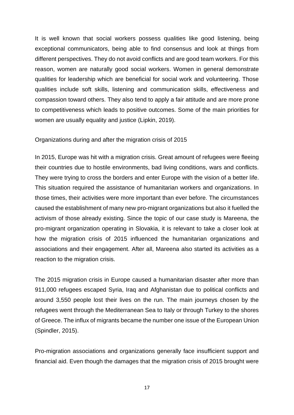It is well known that social workers possess qualities like good listening, being exceptional communicators, being able to find consensus and look at things from different perspectives. They do not avoid conflicts and are good team workers. For this reason, women are naturally good social workers. Women in general demonstrate qualities for leadership which are beneficial for social work and volunteering. Those qualities include soft skills, listening and communication skills, effectiveness and compassion toward others. They also tend to apply a fair attitude and are more prone to competitiveness which leads to positive outcomes. Some of the main priorities for women are usually equality and justice (Lipkin, 2019).

## <span id="page-16-0"></span>Organizations during and after the migration crisis of 2015

In 2015, Europe was hit with a migration crisis. Great amount of refugees were fleeing their countries due to hostile environments, bad living conditions, wars and conflicts. They were trying to cross the borders and enter Europe with the vision of a better life. This situation required the assistance of humanitarian workers and organizations. In those times, their activities were more important than ever before. The circumstances caused the establishment of many new pro-migrant organizations but also it fuelled the activism of those already existing. Since the topic of our case study is Mareena, the pro-migrant organization operating in Slovakia, it is relevant to take a closer look at how the migration crisis of 2015 influenced the humanitarian organizations and associations and their engagement. After all, Mareena also started its activities as a reaction to the migration crisis.

The 2015 migration crisis in Europe caused a humanitarian disaster after more than 911,000 refugees escaped Syria, Iraq and Afghanistan due to political conflicts and around 3,550 people lost their lives on the run. The main journeys chosen by the refugees went through the Mediterranean Sea to Italy or through Turkey to the shores of Greece. The influx of migrants became the number one issue of the European Union (Spindler, 2015).

Pro-migration associations and organizations generally face insufficient support and financial aid. Even though the damages that the migration crisis of 2015 brought were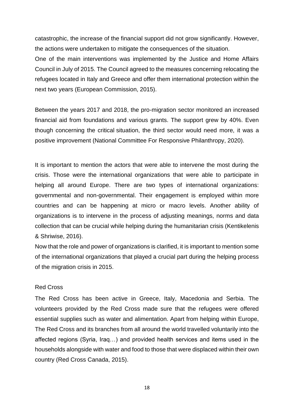catastrophic, the increase of the financial support did not grow significantly. However, the actions were undertaken to mitigate the consequences of the situation.

One of the main interventions was implemented by the Justice and Home Affairs Council in July of 2015. The Council agreed to the measures concerning relocating the refugees located in Italy and Greece and offer them international protection within the next two years (European Commission, 2015).

Between the years 2017 and 2018, the pro-migration sector monitored an increased financial aid from foundations and various grants. The support grew by 40%. Even though concerning the critical situation, the third sector would need more, it was a positive improvement (National Committee For Responsive Philanthropy, 2020).

It is important to mention the actors that were able to intervene the most during the crisis. Those were the international organizations that were able to participate in helping all around Europe. There are two types of international organizations: governmental and non-governmental. Their engagement is employed within more countries and can be happening at micro or macro levels. Another ability of organizations is to intervene in the process of adjusting meanings, norms and data collection that can be crucial while helping during the humanitarian crisis (Kentikelenis & Shriwise, 2016).

Now that the role and power of organizations is clarified, it is important to mention some of the international organizations that played a crucial part during the helping process of the migration crisis in 2015.

## Red Cross

The Red Cross has been active in Greece, Italy, Macedonia and Serbia. The volunteers provided by the Red Cross made sure that the refugees were offered essential supplies such as water and alimentation. Apart from helping within Europe, The Red Cross and its branches from all around the world travelled voluntarily into the affected regions (Syria, Iraq…) and provided health services and items used in the households alongside with water and food to those that were displaced within their own country (Red Cross Canada, 2015).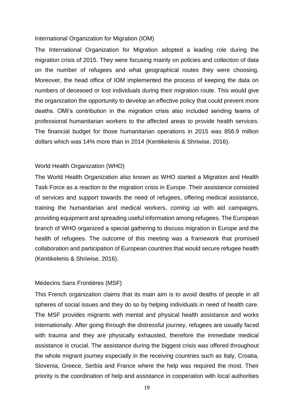#### International Organization for Migration (IOM)

The International Organization for Migration adopted a leading role during the migration crisis of 2015. They were focusing mainly on policies and collection of data on the number of refugees and what geographical routes they were choosing. Moreover, the head office of IOM implemented the process of keeping the data on numbers of deceased or lost individuals during their migration route. This would give the organization the opportunity to develop an effective policy that could prevent more deaths. OMI's contribution in the migration crisis also included sending teams of professional humanitarian workers to the affected areas to provide health services. The financial budget for those humanitarian operations in 2015 was 856.9 million dollars which was 14% more than in 2014 (Kentikelenis & Shriwise, 2016).

### World Health Organization (WHO)

The World Health Organization also known as WHO started a Migration and Health Task Force as a reaction to the migration crisis in Europe. Their assistance consisted of services and support towards the need of refugees, offering medical assistance, training the humanitarian and medical workers, coming up with aid campaigns, providing equipment and spreading useful information among refugees. The European branch of WHO organized a special gathering to discuss migration in Europe and the health of refugees. The outcome of this meeting was a framework that promised collaboration and participation of European countries that would secure refugee health (Kentikelenis & Shriwise, 2016).

### Médecins Sans Frontières (MSF)

This French organization claims that its main aim is to avoid deaths of people in all spheres of social issues and they do so by helping individuals in need of health care. The MSF provides migrants with mental and physical health assistance and works internationally. After going through the distressful journey, refugees are usually faced with trauma and they are physically exhausted, therefore the immediate medical assistance is crucial. The assistance during the biggest crisis was offered throughout the whole migrant journey especially in the receiving countries such as Italy, Croatia, Slovenia, Greece, Serbia and France where the help was required the most. Their priority is the coordination of help and assistance in cooperation with local authorities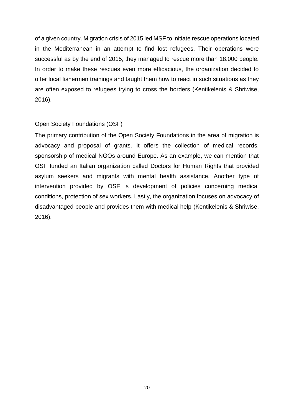of a given country. Migration crisis of 2015 led MSF to initiate rescue operations located in the Mediterranean in an attempt to find lost refugees. Their operations were successful as by the end of 2015, they managed to rescue more than 18.000 people. In order to make these rescues even more efficacious, the organization decided to offer local fishermen trainings and taught them how to react in such situations as they are often exposed to refugees trying to cross the borders (Kentikelenis & Shriwise, 2016).

## Open Society Foundations (OSF)

The primary contribution of the Open Society Foundations in the area of migration is advocacy and proposal of grants. It offers the collection of medical records, sponsorship of medical NGOs around Europe. As an example, we can mention that OSF funded an Italian organization called Doctors for Human Rights that provided asylum seekers and migrants with mental health assistance. Another type of intervention provided by OSF is development of policies concerning medical conditions, protection of sex workers. Lastly, the organization focuses on advocacy of disadvantaged people and provides them with medical help (Kentikelenis & Shriwise, 2016).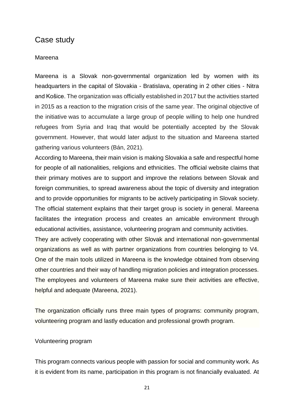# <span id="page-20-0"></span>Case study

#### <span id="page-20-1"></span>Mareena

Mareena is a Slovak non-governmental organization led by women with its headquarters in the capital of Slovakia - Bratislava, operating in 2 other cities - Nitra and Košice. The organization was officially established in 2017 but the activities started in 2015 as a reaction to the migration crisis of the same year. The original objective of the initiative was to accumulate a large group of people willing to help one hundred refugees from Syria and Iraq that would be potentially accepted by the Slovak government. However, that would later adjust to the situation and Mareena started gathering various volunteers (Bán, 2021).

According to Mareena, their main vision is making Slovakia a safe and respectful home for people of all nationalities, religions and ethnicities. The official website claims that their primary motives are to support and improve the relations between Slovak and foreign communities, to spread awareness about the topic of diversity and integration and to provide opportunities for migrants to be actively participating in Slovak society. The official statement explains that their target group is society in general. Mareena facilitates the integration process and creates an amicable environment through educational activities, assistance, volunteering program and community activities.

They are actively cooperating with other Slovak and international non-governmental organizations as well as with partner organizations from countries belonging to V4. One of the main tools utilized in Mareena is the knowledge obtained from observing other countries and their way of handling migration policies and integration processes. The employees and volunteers of Mareena make sure their activities are effective, helpful and adequate (Mareena, 2021).

The organization officially runs three main types of programs: community program, volunteering program and lastly education and professional growth program.

#### <span id="page-20-2"></span>Volunteering program

This program connects various people with passion for social and community work. As it is evident from its name, participation in this program is not financially evaluated. At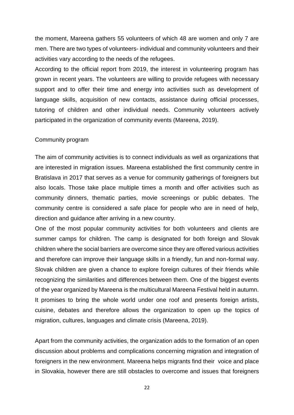the moment, Mareena gathers 55 volunteers of which 48 are women and only 7 are men. There are two types of volunteers- individual and community volunteers and their activities vary according to the needs of the refugees.

According to the official report from 2019, the interest in volunteering program has grown in recent years. The volunteers are willing to provide refugees with necessary support and to offer their time and energy into activities such as development of language skills, acquisition of new contacts, assistance during official processes, tutoring of children and other individual needs. Community volunteers actively participated in the organization of community events (Mareena, 2019).

#### <span id="page-21-0"></span>Community program

The aim of community activities is to connect individuals as well as organizations that are interested in migration issues. Mareena established the first community centre in Bratislava in 2017 that serves as a venue for community gatherings of foreigners but also locals. Those take place multiple times a month and offer activities such as community dinners, thematic parties, movie screenings or public debates. The community centre is considered a safe place for people who are in need of help, direction and guidance after arriving in a new country.

One of the most popular community activities for both volunteers and clients are summer camps for children. The camp is designated for both foreign and Slovak children where the social barriers are overcome since they are offered various activities and therefore can improve their language skills in a friendly, fun and non-formal way. Slovak children are given a chance to explore foreign cultures of their friends while recognizing the similarities and differences between them. One of the biggest events of the year organized by Mareena is the multicultural Mareena Festival held in autumn. It promises to bring the whole world under one roof and presents foreign artists, cuisine, debates and therefore allows the organization to open up the topics of migration, cultures, languages and climate crisis (Mareena, 2019).

Apart from the community activities, the organization adds to the formation of an open discussion about problems and complications concerning migration and integration of foreigners in the new environment. Mareena helps migrants find their voice and place in Slovakia, however there are still obstacles to overcome and issues that foreigners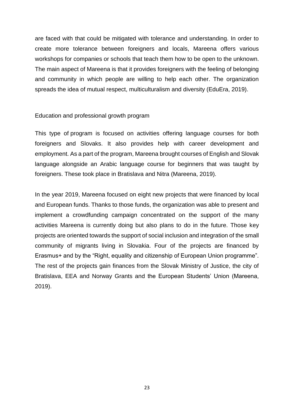are faced with that could be mitigated with tolerance and understanding. In order to create more tolerance between foreigners and locals, Mareena offers various workshops for companies or schools that teach them how to be open to the unknown. The main aspect of Mareena is that it provides foreigners with the feeling of belonging and community in which people are willing to help each other. The organization spreads the idea of mutual respect, multiculturalism and diversity (EduEra, 2019).

## <span id="page-22-0"></span>Education and professional growth program

This type of program is focused on activities offering language courses for both foreigners and Slovaks. It also provides help with career development and employment. As a part of the program, Mareena brought courses of English and Slovak language alongside an Arabic language course for beginners that was taught by foreigners. These took place in Bratislava and Nitra (Mareena, 2019).

In the year 2019, Mareena focused on eight new projects that were financed by local and European funds. Thanks to those funds, the organization was able to present and implement a crowdfunding campaign concentrated on the support of the many activities Mareena is currently doing but also plans to do in the future. Those key projects are oriented towards the support of social inclusion and integration of the small community of migrants living in Slovakia. Four of the projects are financed by Erasmus+ and by the "Right, equality and citizenship of European Union programme". The rest of the projects gain finances from the Slovak Ministry of Justice, the city of Bratislava, EEA and Norway Grants and the European Students' Union (Mareena, 2019).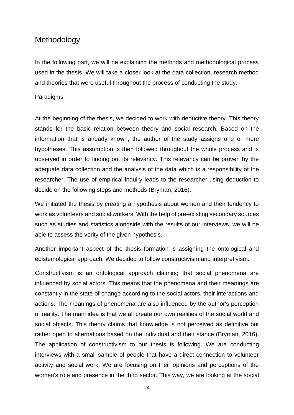# <span id="page-23-0"></span>**Methodology**

In the following part, we will be explaining the methods and methodological process used in the thesis. We will take a closer look at the data collection, research method and theories that were useful throughout the process of conducting the study.

## <span id="page-23-1"></span>Paradigms

At the beginning of the thesis, we decided to work with deductive theory. This theory stands for the basic relation between theory and social research. Based on the information that is already known, the author of the study assigns one or more hypotheses. This assumption is then followed throughout the whole process and is observed in order to finding out its relevancy. This relevancy can be proven by the adequate data collection and the analysis of the data which is a responsibility of the researcher. The use of empirical inquiry leads to the researcher using deduction to decide on the following steps and methods (Bryman, 2016).

We initiated the thesis by creating a hypothesis about women and their tendency to work as volunteers and social workers. With the help of pre-existing secondary sources such as studies and statistics alongside with the results of our interviews, we will be able to assess the verity of the given hypothesis.

Another important aspect of the thesis formation is assigning the ontological and epistemological approach. We decided to follow constructivism and interpretivism.

Constructivism is an ontological approach claiming that social phenomena are influenced by social actors. This means that the phenomena and their meanings are constantly in the state of change according to the social actors, their interactions and actions. The meanings of phenomena are also influenced by the author's perception of reality. The main idea is that we all create our own realities of the social world and social objects. This theory claims that knowledge is not perceived as definitive but rather open to alternations based on the individual and their stance (Bryman, 2016). The application of constructivism to our thesis is following. We are conducting interviews with a small sample of people that have a direct connection to volunteer activity and social work. We are focusing on their opinions and perceptions of the women's role and presence in the third sector. This way, we are looking at the social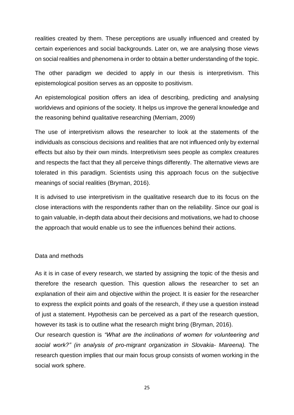realities created by them. These perceptions are usually influenced and created by certain experiences and social backgrounds. Later on, we are analysing those views on social realities and phenomena in order to obtain a better understanding of the topic.

The other paradigm we decided to apply in our thesis is interpretivism. This epistemological position serves as an opposite to positivism.

An epistemological position offers an idea of describing, predicting and analysing worldviews and opinions of the society. It helps us improve the general knowledge and the reasoning behind qualitative researching (Merriam, 2009)

The use of interpretivism allows the researcher to look at the statements of the individuals as conscious decisions and realities that are not influenced only by external effects but also by their own minds. Interpretivism sees people as complex creatures and respects the fact that they all perceive things differently. The alternative views are tolerated in this paradigm. Scientists using this approach focus on the subjective meanings of social realities (Bryman, 2016).

It is advised to use interpretivism in the qualitative research due to its focus on the close interactions with the respondents rather than on the reliability. Since our goal is to gain valuable, in-depth data about their decisions and motivations, we had to choose the approach that would enable us to see the influences behind their actions.

## <span id="page-24-0"></span>Data and methods

As it is in case of every research, we started by assigning the topic of the thesis and therefore the research question. This question allows the researcher to set an explanation of their aim and objective within the project. It is easier for the researcher to express the explicit points and goals of the research, if they use a question instead of just a statement. Hypothesis can be perceived as a part of the research question, however its task is to outline what the research might bring (Bryman, 2016).

Our research question is *"What are the inclinations of women for volunteering and social work?" (in analysis of pro-migrant organization in Slovakia- Mareena).* The research question implies that our main focus group consists of women working in the social work sphere.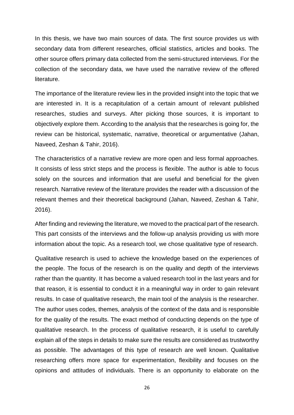In this thesis, we have two main sources of data. The first source provides us with secondary data from different researches, official statistics, articles and books. The other source offers primary data collected from the semi-structured interviews. For the collection of the secondary data, we have used the narrative review of the offered literature.

The importance of the literature review lies in the provided insight into the topic that we are interested in. It is a recapitulation of a certain amount of relevant published researches, studies and surveys. After picking those sources, it is important to objectively explore them. According to the analysis that the researches is going for, the review can be historical, systematic, narrative, theoretical or argumentative (Jahan, Naveed, Zeshan & Tahir, 2016).

The characteristics of a narrative review are more open and less formal approaches. It consists of less strict steps and the process is flexible. The author is able to focus solely on the sources and information that are useful and beneficial for the given research. Narrative review of the literature provides the reader with a discussion of the relevant themes and their theoretical background (Jahan, Naveed, Zeshan & Tahir, 2016).

After finding and reviewing the literature, we moved to the practical part of the research. This part consists of the interviews and the follow-up analysis providing us with more information about the topic. As a research tool, we chose qualitative type of research.

Qualitative research is used to achieve the knowledge based on the experiences of the people. The focus of the research is on the quality and depth of the interviews rather than the quantity. It has become a valued research tool in the last years and for that reason, it is essential to conduct it in a meaningful way in order to gain relevant results. In case of qualitative research, the main tool of the analysis is the researcher. The author uses codes, themes, analysis of the context of the data and is responsible for the quality of the results. The exact method of conducting depends on the type of qualitative research. In the process of qualitative research, it is useful to carefully explain all of the steps in details to make sure the results are considered as trustworthy as possible. The advantages of this type of research are well known. Qualitative researching offers more space for experimentation, flexibility and focuses on the opinions and attitudes of individuals. There is an opportunity to elaborate on the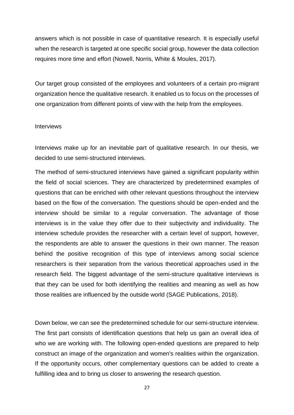answers which is not possible in case of quantitative research. It is especially useful when the research is targeted at one specific social group, however the data collection requires more time and effort (Nowell, Norris, White & Moules, 2017).

Our target group consisted of the employees and volunteers of a certain pro-migrant organization hence the qualitative research. It enabled us to focus on the processes of one organization from different points of view with the help from the employees.

## <span id="page-26-0"></span>**Interviews**

Interviews make up for an inevitable part of qualitative research. In our thesis, we decided to use semi-structured interviews.

The method of semi-structured interviews have gained a significant popularity within the field of social sciences. They are characterized by predetermined examples of questions that can be enriched with other relevant questions throughout the interview based on the flow of the conversation. The questions should be open-ended and the interview should be similar to a regular conversation. The advantage of those interviews is in the value they offer due to their subjectivity and individuality. The interview schedule provides the researcher with a certain level of support, however, the respondents are able to answer the questions in their own manner. The reason behind the positive recognition of this type of interviews among social science researchers is their separation from the various theoretical approaches used in the research field. The biggest advantage of the semi-structure qualitative interviews is that they can be used for both identifying the realities and meaning as well as how those realities are influenced by the outside world (SAGE Publications, 2018).

Down below, we can see the predetermined schedule for our semi-structure interview. The first part consists of identification questions that help us gain an overall idea of who we are working with. The following open-ended questions are prepared to help construct an image of the organization and women's realities within the organization. If the opportunity occurs, other complementary questions can be added to create a fulfilling idea and to bring us closer to answering the research question.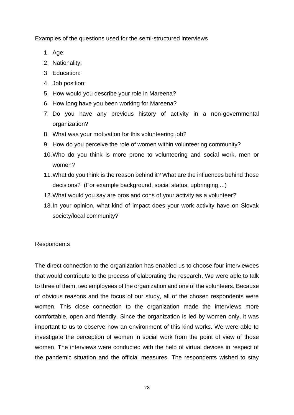Examples of the questions used for the semi-structured interviews

- 1. Age:
- 2. Nationality:
- 3. Education:
- 4. Job position:
- 5. How would you describe your role in Mareena?
- 6. How long have you been working for Mareena?
- 7. Do you have any previous history of activity in a non-governmental organization?
- 8. What was your motivation for this volunteering job?
- 9. How do you perceive the role of women within volunteering community?
- 10.Who do you think is more prone to volunteering and social work, men or women?
- 11.What do you think is the reason behind it? What are the influences behind those decisions? (For example background, social status, upbringing,...)
- 12.What would you say are pros and cons of your activity as a volunteer?
- 13.In your opinion, what kind of impact does your work activity have on Slovak society/local community?

## <span id="page-27-0"></span>**Respondents**

The direct connection to the organization has enabled us to choose four interviewees that would contribute to the process of elaborating the research. We were able to talk to three of them, two employees of the organization and one of the volunteers. Because of obvious reasons and the focus of our study, all of the chosen respondents were women. This close connection to the organization made the interviews more comfortable, open and friendly. Since the organization is led by women only, it was important to us to observe how an environment of this kind works. We were able to investigate the perception of women in social work from the point of view of those women. The interviews were conducted with the help of virtual devices in respect of the pandemic situation and the official measures. The respondents wished to stay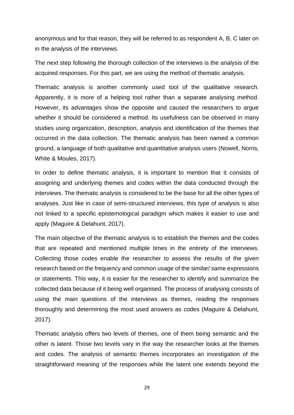anonymous and for that reason, they will be referred to as respondent A, B, C later on in the analysis of the interviews.

The next step following the thorough collection of the interviews is the analysis of the acquired responses. For this part, we are using the method of thematic analysis.

Thematic analysis is another commonly used tool of the qualitative research. Apparently, it is more of a helping tool rather than a separate analysing method. However, its advantages show the opposite and caused the researchers to argue whether it should be considered a method. Its usefulness can be observed in many studies using organization, description, analysis and identification of the themes that occurred in the data collection. The thematic analysis has been named a common ground, a language of both qualitative and quantitative analysis users (Nowell, Norris, White & Moules, 2017).

In order to define thematic analysis, it is important to mention that it consists of assigning and underlying themes and codes within the data conducted through the interviews. The thematic analysis is considered to be the base for all the other types of analyses. Just like in case of semi-structured interviews, this type of analysis is also not linked to a specific epistemological paradigm which makes it easier to use and apply (Maguire & Delahunt, 2017).

The main objective of the thematic analysis is to establish the themes and the codes that are repeated and mentioned multiple times in the entirety of the interviews. Collecting those codes enable the researcher to assess the results of the given research based on the frequency and common usage of the similar/ same expressions or statements. This way, it is easier for the researcher to identify and summarize the collected data because of it being well organised. The process of analysing consists of using the main questions of the interviews as themes, reading the responses thoroughly and determining the most used answers as codes (Maguire & Delahunt, 2017).

Thematic analysis offers two levels of themes, one of them being semantic and the other is latent. Those two levels vary in the way the researcher looks at the themes and codes. The analysis of semantic themes incorporates an investigation of the straightforward meaning of the responses while the latent one extends beyond the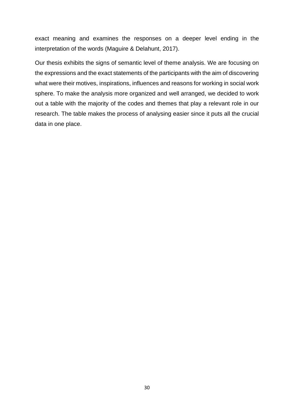exact meaning and examines the responses on a deeper level ending in the interpretation of the words (Maguire & Delahunt, 2017).

Our thesis exhibits the signs of semantic level of theme analysis. We are focusing on the expressions and the exact statements of the participants with the aim of discovering what were their motives, inspirations, influences and reasons for working in social work sphere. To make the analysis more organized and well arranged, we decided to work out a table with the majority of the codes and themes that play a relevant role in our research. The table makes the process of analysing easier since it puts all the crucial data in one place.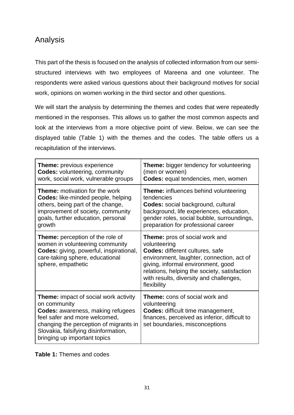# <span id="page-30-0"></span>Analysis

This part of the thesis is focused on the analysis of collected information from our semistructured interviews with two employees of Mareena and one volunteer. The respondents were asked various questions about their background motives for social work, opinions on women working in the third sector and other questions.

We will start the analysis by determining the themes and codes that were repeatedly mentioned in the responses. This allows us to gather the most common aspects and look at the interviews from a more objective point of view. Below, we can see the displayed table (Table 1) with the themes and the codes. The table offers us a recapitulation of the interviews.

| <b>Theme:</b> previous experience                                                                                                                                                                                                                    | <b>Theme:</b> bigger tendency for volunteering                                                                                                                                                                                                                                        |
|------------------------------------------------------------------------------------------------------------------------------------------------------------------------------------------------------------------------------------------------------|---------------------------------------------------------------------------------------------------------------------------------------------------------------------------------------------------------------------------------------------------------------------------------------|
| <b>Codes: volunteering, community</b>                                                                                                                                                                                                                | (men or women)                                                                                                                                                                                                                                                                        |
| work, social work, vulnerable groups                                                                                                                                                                                                                 | Codes: equal tendencies, men, women                                                                                                                                                                                                                                                   |
| <b>Theme:</b> motivation for the work                                                                                                                                                                                                                | <b>Theme:</b> influences behind volunteering                                                                                                                                                                                                                                          |
| Codes: like-minded people, helping                                                                                                                                                                                                                   | tendencies                                                                                                                                                                                                                                                                            |
| others, being part of the change,                                                                                                                                                                                                                    | <b>Codes:</b> social background, cultural                                                                                                                                                                                                                                             |
| improvement of society, community                                                                                                                                                                                                                    | background, life experiences, education,                                                                                                                                                                                                                                              |
| goals, further education, personal                                                                                                                                                                                                                   | gender roles, social bubble, surroundings,                                                                                                                                                                                                                                            |
| growth                                                                                                                                                                                                                                               | preparation for professional career                                                                                                                                                                                                                                                   |
| <b>Theme:</b> perception of the role of<br>women in volunteering community<br><b>Codes:</b> giving, powerful, inspirational,<br>care-taking sphere, educational<br>sphere, empathetic                                                                | <b>Theme:</b> pros of social work and<br>volunteering<br>Codes: different cultures, safe<br>environment, laughter, connection, act of<br>giving, informal environment, good<br>relations, helping the society, satisfaction<br>with results, diversity and challenges,<br>flexibility |
| <b>Theme:</b> impact of social work activity<br>on community<br>Codes: awareness, making refugees<br>feel safer and more welcomed,<br>changing the perception of migrants in<br>Slovakia, falsifying disinformation,<br>bringing up important topics | <b>Theme:</b> cons of social work and<br>volunteering<br>Codes: difficult time management,<br>finances, perceived as inferior, difficult to<br>set boundaries, misconceptions                                                                                                         |

**Table 1:** Themes and codes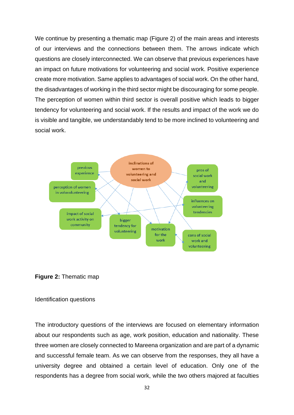We continue by presenting a thematic map (Figure 2) of the main areas and interests of our interviews and the connections between them. The arrows indicate which questions are closely interconnected. We can observe that previous experiences have an impact on future motivations for volunteering and social work. Positive experience create more motivation. Same applies to advantages of social work. On the other hand, the disadvantages of working in the third sector might be discouraging for some people. The perception of women within third sector is overall positive which leads to bigger tendency for volunteering and social work. If the results and impact of the work we do is visible and tangible, we understandably tend to be more inclined to volunteering and social work.



**Figure 2:** Thematic map

### Identification questions

The introductory questions of the interviews are focused on elementary information about our respondents such as age, work position, education and nationality. These three women are closely connected to Mareena organization and are part of a dynamic and successful female team. As we can observe from the responses, they all have a university degree and obtained a certain level of education. Only one of the respondents has a degree from social work, while the two others majored at faculties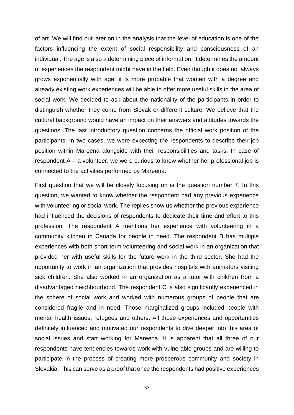of art. We will find out later on in the analysis that the level of education is one of the factors influencing the extent of social responsibility and consciousness of an individual. The age is also a determining piece of information. It determines the amount of experiences the respondent might have in the field. Even though it does not always grows exponentially with age, it is more probable that women with a degree and already existing work experiences will be able to offer more useful skills in the area of social work. We decided to ask about the nationality of the participants in order to distinguish whether they come from Slovak or different culture. We believe that the cultural background would have an impact on their answers and attitudes towards the questions. The last introductory question concerns the official work position of the participants. In two cases, we were expecting the respondents to describe their job position within Mareena alongside with their responsibilities and tasks. In case of respondent A – a volunteer, we were curious to know whether her professional job is connected to the activities performed by Mareena.

First question that we will be closely focusing on is the question number 7. In this question, we wanted to know whether the respondent had any previous experience with volunteering or social work. The replies show us whether the previous experience had influenced the decisions of respondents to dedicate their time and effort to this profession. The respondent A mentions her experience with volunteering in a community kitchen in Canada for people in need. The respondent B has multiple experiences with both short-term volunteering and social work in an organization that provided her with useful skills for the future work in the third sector. She had the opportunity to work in an organization that provides hospitals with animators visiting sick children. She also worked in an organization as a tutor with children from a disadvantaged neighbourhood. The respondent C is also significantly experienced in the sphere of social work and worked with numerous groups of people that are considered fragile and in need. Those marginalized groups included people with mental health issues, refugees and others. All those experiences and opportunities definitely influenced and motivated our respondents to dive deeper into this area of social issues and start working for Mareena. It is apparent that all three of our respondents have tendencies towards work with vulnerable groups and are willing to participate in the process of creating more prosperous community and society in Slovakia. This can serve as a proof that once the respondents had positive experiences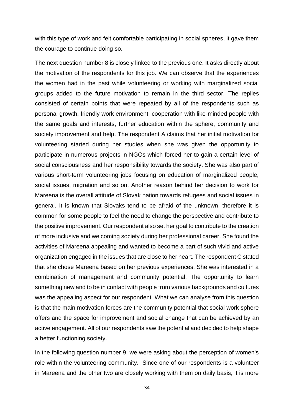with this type of work and felt comfortable participating in social spheres, it gave them the courage to continue doing so.

The next question number 8 is closely linked to the previous one. It asks directly about the motivation of the respondents for this job. We can observe that the experiences the women had in the past while volunteering or working with marginalized social groups added to the future motivation to remain in the third sector. The replies consisted of certain points that were repeated by all of the respondents such as personal growth, friendly work environment, cooperation with like-minded people with the same goals and interests, further education within the sphere, community and society improvement and help. The respondent A claims that her initial motivation for volunteering started during her studies when she was given the opportunity to participate in numerous projects in NGOs which forced her to gain a certain level of social consciousness and her responsibility towards the society. She was also part of various short-term volunteering jobs focusing on education of marginalized people, social issues, migration and so on. Another reason behind her decision to work for Mareena is the overall attitude of Slovak nation towards refugees and social issues in general. It is known that Slovaks tend to be afraid of the unknown, therefore it is common for some people to feel the need to change the perspective and contribute to the positive improvement. Our respondent also set her goal to contribute to the creation of more inclusive and welcoming society during her professional career. She found the activities of Mareena appealing and wanted to become a part of such vivid and active organization engaged in the issues that are close to her heart. The respondent C stated that she chose Mareena based on her previous experiences. She was interested in a combination of management and community potential. The opportunity to learn something new and to be in contact with people from various backgrounds and cultures was the appealing aspect for our respondent. What we can analyse from this question is that the main motivation forces are the community potential that social work sphere offers and the space for improvement and social change that can be achieved by an active engagement. All of our respondents saw the potential and decided to help shape a better functioning society.

In the following question number 9, we were asking about the perception of women's role within the volunteering community. Since one of our respondents is a volunteer in Mareena and the other two are closely working with them on daily basis, it is more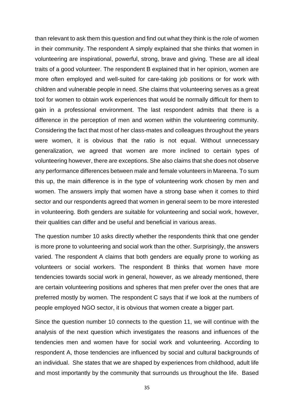than relevant to ask them this question and find out what they think is the role of women in their community. The respondent A simply explained that she thinks that women in volunteering are inspirational, powerful, strong, brave and giving. These are all ideal traits of a good volunteer. The respondent B explained that in her opinion, women are more often employed and well-suited for care-taking job positions or for work with children and vulnerable people in need. She claims that volunteering serves as a great tool for women to obtain work experiences that would be normally difficult for them to gain in a professional environment. The last respondent admits that there is a difference in the perception of men and women within the volunteering community. Considering the fact that most of her class-mates and colleagues throughout the years were women, it is obvious that the ratio is not equal. Without unnecessary generalization, we agreed that women are more inclined to certain types of volunteering however, there are exceptions. She also claims that she does not observe any performance differences between male and female volunteers in Mareena. To sum this up, the main difference is in the type of volunteering work chosen by men and women. The answers imply that women have a strong base when it comes to third sector and our respondents agreed that women in general seem to be more interested in volunteering. Both genders are suitable for volunteering and social work, however, their qualities can differ and be useful and beneficial in various areas.

The question number 10 asks directly whether the respondents think that one gender is more prone to volunteering and social work than the other. Surprisingly, the answers varied. The respondent A claims that both genders are equally prone to working as volunteers or social workers. The respondent B thinks that women have more tendencies towards social work in general, however, as we already mentioned, there are certain volunteering positions and spheres that men prefer over the ones that are preferred mostly by women. The respondent C says that if we look at the numbers of people employed NGO sector, it is obvious that women create a bigger part.

Since the question number 10 connects to the question 11, we will continue with the analysis of the next question which investigates the reasons and influences of the tendencies men and women have for social work and volunteering. According to respondent A, those tendencies are influenced by social and cultural backgrounds of an individual. She states that we are shaped by experiences from childhood, adult life and most importantly by the community that surrounds us throughout the life. Based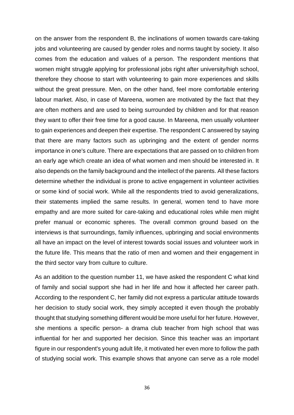on the answer from the respondent B, the inclinations of women towards care-taking jobs and volunteering are caused by gender roles and norms taught by society. It also comes from the education and values of a person. The respondent mentions that women might struggle applying for professional jobs right after university/high school, therefore they choose to start with volunteering to gain more experiences and skills without the great pressure. Men, on the other hand, feel more comfortable entering labour market. Also, in case of Mareena, women are motivated by the fact that they are often mothers and are used to being surrounded by children and for that reason they want to offer their free time for a good cause. In Mareena, men usually volunteer to gain experiences and deepen their expertise. The respondent C answered by saying that there are many factors such as upbringing and the extent of gender norms importance in one's culture. There are expectations that are passed on to children from an early age which create an idea of what women and men should be interested in. It also depends on the family background and the intellect of the parents. All these factors determine whether the individual is prone to active engagement in volunteer activities or some kind of social work. While all the respondents tried to avoid generalizations, their statements implied the same results. In general, women tend to have more empathy and are more suited for care-taking and educational roles while men might prefer manual or economic spheres. The overall common ground based on the interviews is that surroundings, family influences, upbringing and social environments all have an impact on the level of interest towards social issues and volunteer work in the future life. This means that the ratio of men and women and their engagement in the third sector vary from culture to culture.

As an addition to the question number 11, we have asked the respondent C what kind of family and social support she had in her life and how it affected her career path. According to the respondent C, her family did not express a particular attitude towards her decision to study social work, they simply accepted it even though the probably thought that studying something different would be more useful for her future. However, she mentions a specific person- a drama club teacher from high school that was influential for her and supported her decision. Since this teacher was an important figure in our respondent's young adult life, it motivated her even more to follow the path of studying social work. This example shows that anyone can serve as a role model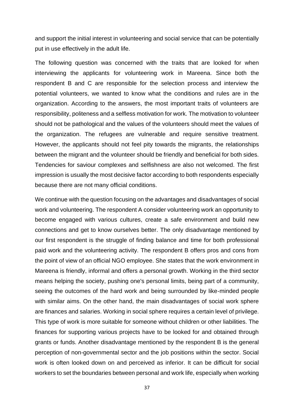and support the initial interest in volunteering and social service that can be potentially put in use effectively in the adult life.

The following question was concerned with the traits that are looked for when interviewing the applicants for volunteering work in Mareena. Since both the respondent B and C are responsible for the selection process and interview the potential volunteers, we wanted to know what the conditions and rules are in the organization. According to the answers, the most important traits of volunteers are responsibility, politeness and a selfless motivation for work. The motivation to volunteer should not be pathological and the values of the volunteers should meet the values of the organization. The refugees are vulnerable and require sensitive treatment. However, the applicants should not feel pity towards the migrants, the relationships between the migrant and the volunteer should be friendly and beneficial for both sides. Tendencies for saviour complexes and selfishness are also not welcomed. The first impression is usually the most decisive factor according to both respondents especially because there are not many official conditions.

We continue with the question focusing on the advantages and disadvantages of social work and volunteering. The respondent A consider volunteering work an opportunity to become engaged with various cultures, create a safe environment and build new connections and get to know ourselves better. The only disadvantage mentioned by our first respondent is the struggle of finding balance and time for both professional paid work and the volunteering activity. The respondent B offers pros and cons from the point of view of an official NGO employee. She states that the work environment in Mareena is friendly, informal and offers a personal growth. Working in the third sector means helping the society, pushing one's personal limits, being part of a community, seeing the outcomes of the hard work and being surrounded by like-minded people with similar aims. On the other hand, the main disadvantages of social work sphere are finances and salaries. Working in social sphere requires a certain level of privilege. This type of work is more suitable for someone without children or other liabilities. The finances for supporting various projects have to be looked for and obtained through grants or funds. Another disadvantage mentioned by the respondent B is the general perception of non-governmental sector and the job positions within the sector. Social work is often looked down on and perceived as inferior. It can be difficult for social workers to set the boundaries between personal and work life, especially when working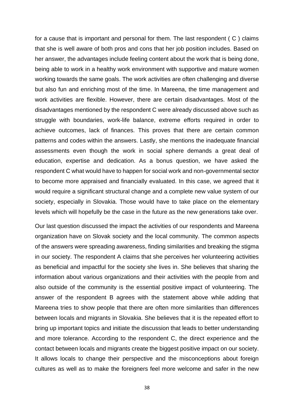for a cause that is important and personal for them. The last respondent ( C ) claims that she is well aware of both pros and cons that her job position includes. Based on her answer, the advantages include feeling content about the work that is being done, being able to work in a healthy work environment with supportive and mature women working towards the same goals. The work activities are often challenging and diverse but also fun and enriching most of the time. In Mareena, the time management and work activities are flexible. However, there are certain disadvantages. Most of the disadvantages mentioned by the respondent C were already discussed above such as struggle with boundaries, work-life balance, extreme efforts required in order to achieve outcomes, lack of finances. This proves that there are certain common patterns and codes within the answers. Lastly, she mentions the inadequate financial assessments even though the work in social sphere demands a great deal of education, expertise and dedication. As a bonus question, we have asked the respondent C what would have to happen for social work and non-governmental sector to become more appraised and financially evaluated. In this case, we agreed that it would require a significant structural change and a complete new value system of our society, especially in Slovakia. Those would have to take place on the elementary levels which will hopefully be the case in the future as the new generations take over.

Our last question discussed the impact the activities of our respondents and Mareena organization have on Slovak society and the local community. The common aspects of the answers were spreading awareness, finding similarities and breaking the stigma in our society. The respondent A claims that she perceives her volunteering activities as beneficial and impactful for the society she lives in. She believes that sharing the information about various organizations and their activities with the people from and also outside of the community is the essential positive impact of volunteering. The answer of the respondent B agrees with the statement above while adding that Mareena tries to show people that there are often more similarities than differences between locals and migrants in Slovakia. She believes that it is the repeated effort to bring up important topics and initiate the discussion that leads to better understanding and more tolerance. According to the respondent C, the direct experience and the contact between locals and migrants create the biggest positive impact on our society. It allows locals to change their perspective and the misconceptions about foreign cultures as well as to make the foreigners feel more welcome and safer in the new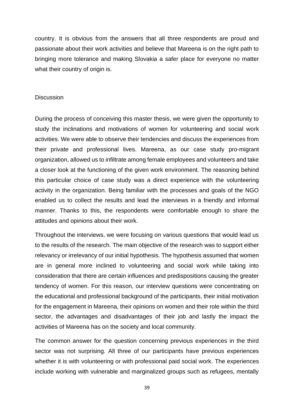country. It is obvious from the answers that all three respondents are proud and passionate about their work activities and believe that Mareena is on the right path to bringing more tolerance and making Slovakia a safer place for everyone no matter what their country of origin is.

### <span id="page-38-0"></span>**Discussion**

During the process of conceiving this master thesis, we were given the opportunity to study the inclinations and motivations of women for volunteering and social work activities. We were able to observe their tendencies and discuss the experiences from their private and professional lives. Mareena, as our case study pro-migrant organization, allowed us to infiltrate among female employees and volunteers and take a closer look at the functioning of the given work environment. The reasoning behind this particular choice of case study was a direct experience with the volunteering activity in the organization. Being familiar with the processes and goals of the NGO enabled us to collect the results and lead the interviews in a friendly and informal manner. Thanks to this, the respondents were comfortable enough to share the attitudes and opinions about their work.

Throughout the interviews, we were focusing on various questions that would lead us to the results of the research. The main objective of the research was to support either relevancy or irrelevancy of our initial hypothesis. The hypothesis assumed that women are in general more inclined to volunteering and social work while taking into consideration that there are certain influences and predispositions causing the greater tendency of women. For this reason, our interview questions were concentrating on the educational and professional background of the participants, their initial motivation for the engagement in Mareena, their opinions on women and their role within the third sector, the advantages and disadvantages of their job and lastly the impact the activities of Mareena has on the society and local community.

The common answer for the question concerning previous experiences in the third sector was not surprising. All three of our participants have previous experiences whether it is with volunteering or with professional paid social work. The experiences include working with vulnerable and marginalized groups such as refugees, mentally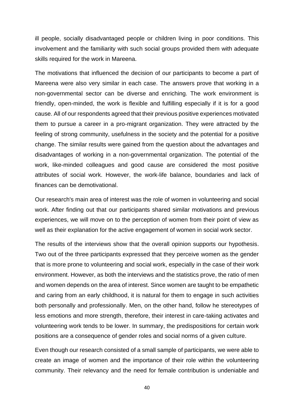ill people, socially disadvantaged people or children living in poor conditions. This involvement and the familiarity with such social groups provided them with adequate skills required for the work in Mareena.

The motivations that influenced the decision of our participants to become a part of Mareena were also very similar in each case. The answers prove that working in a non-governmental sector can be diverse and enriching. The work environment is friendly, open-minded, the work is flexible and fulfilling especially if it is for a good cause. All of our respondents agreed that their previous positive experiences motivated them to pursue a career in a pro-migrant organization. They were attracted by the feeling of strong community, usefulness in the society and the potential for a positive change. The similar results were gained from the question about the advantages and disadvantages of working in a non-governmental organization. The potential of the work, like-minded colleagues and good cause are considered the most positive attributes of social work. However, the work-life balance, boundaries and lack of finances can be demotivational.

Our research's main area of interest was the role of women in volunteering and social work. After finding out that our participants shared similar motivations and previous experiences, we will move on to the perception of women from their point of view as well as their explanation for the active engagement of women in social work sector.

The results of the interviews show that the overall opinion supports our hypothesis. Two out of the three participants expressed that they perceive women as the gender that is more prone to volunteering and social work, especially in the case of their work environment. However, as both the interviews and the statistics prove, the ratio of men and women depends on the area of interest. Since women are taught to be empathetic and caring from an early childhood, it is natural for them to engage in such activities both personally and professionally. Men, on the other hand, follow he stereotypes of less emotions and more strength, therefore, their interest in care-taking activates and volunteering work tends to be lower. In summary, the predispositions for certain work positions are a consequence of gender roles and social norms of a given culture.

Even though our research consisted of a small sample of participants, we were able to create an image of women and the importance of their role within the volunteering community. Their relevancy and the need for female contribution is undeniable and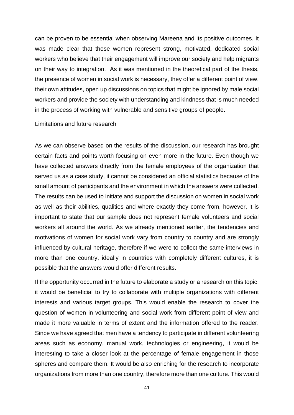can be proven to be essential when observing Mareena and its positive outcomes. It was made clear that those women represent strong, motivated, dedicated social workers who believe that their engagement will improve our society and help migrants on their way to integration. As it was mentioned in the theoretical part of the thesis, the presence of women in social work is necessary, they offer a different point of view, their own attitudes, open up discussions on topics that might be ignored by male social workers and provide the society with understanding and kindness that is much needed in the process of working with vulnerable and sensitive groups of people.

<span id="page-40-0"></span>Limitations and future research

As we can observe based on the results of the discussion, our research has brought certain facts and points worth focusing on even more in the future. Even though we have collected answers directly from the female employees of the organization that served us as a case study, it cannot be considered an official statistics because of the small amount of participants and the environment in which the answers were collected. The results can be used to initiate and support the discussion on women in social work as well as their abilities, qualities and where exactly they come from, however, it is important to state that our sample does not represent female volunteers and social workers all around the world. As we already mentioned earlier, the tendencies and motivations of women for social work vary from country to country and are strongly influenced by cultural heritage, therefore if we were to collect the same interviews in more than one country, ideally in countries with completely different cultures, it is possible that the answers would offer different results.

If the opportunity occurred in the future to elaborate a study or a research on this topic, it would be beneficial to try to collaborate with multiple organizations with different interests and various target groups. This would enable the research to cover the question of women in volunteering and social work from different point of view and made it more valuable in terms of extent and the information offered to the reader. Since we have agreed that men have a tendency to participate in different volunteering areas such as economy, manual work, technologies or engineering, it would be interesting to take a closer look at the percentage of female engagement in those spheres and compare them. It would be also enriching for the research to incorporate organizations from more than one country, therefore more than one culture. This would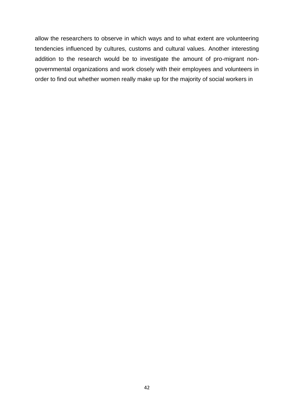allow the researchers to observe in which ways and to what extent are volunteering tendencies influenced by cultures, customs and cultural values. Another interesting addition to the research would be to investigate the amount of pro-migrant nongovernmental organizations and work closely with their employees and volunteers in order to find out whether women really make up for the majority of social workers in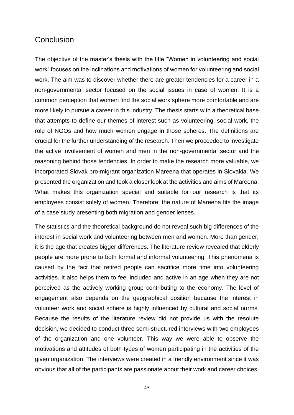# <span id="page-42-0"></span>**Conclusion**

The objective of the master's thesis with the title "Women in volunteering and social work" focuses on the inclinations and motivations of women for volunteering and social work. The aim was to discover whether there are greater tendencies for a career in a non-governmental sector focused on the social issues in case of women. It is a common perception that women find the social work sphere more comfortable and are more likely to pursue a career in this industry. The thesis starts with a theoretical base that attempts to define our themes of interest such as volunteering, social work, the role of NGOs and how much women engage in those spheres. The definitions are crucial for the further understanding of the research. Then we proceeded to investigate the active involvement of women and men in the non-governmental sector and the reasoning behind those tendencies. In order to make the research more valuable, we incorporated Slovak pro-migrant organization Mareena that operates in Slovakia. We presented the organization and took a closer look at the activities and aims of Mareena. What makes this organization special and suitable for our research is that its employees consist solely of women. Therefore, the nature of Mareena fits the image of a case study presenting both migration and gender lenses.

The statistics and the theoretical background do not reveal such big differences of the interest in social work and volunteering between men and women. More than gender, it is the age that creates bigger differences. The literature review revealed that elderly people are more prone to both formal and informal volunteering. This phenomena is caused by the fact that retired people can sacrifice more time into volunteering activities. It also helps them to feel included and active in an age when they are not perceived as the actively working group contributing to the economy. The level of engagement also depends on the geographical position because the interest in volunteer work and social sphere is highly influenced by cultural and social norms. Because the results of the literature review did not provide us with the resolute decision, we decided to conduct three semi-structured interviews with two employees of the organization and one volunteer. This way we were able to observe the motivations and attitudes of both types of women participating in the activities of the given organization. The interviews were created in a friendly environment since it was obvious that all of the participants are passionate about their work and career choices.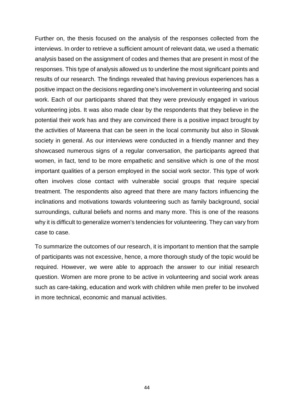Further on, the thesis focused on the analysis of the responses collected from the interviews. In order to retrieve a sufficient amount of relevant data, we used a thematic analysis based on the assignment of codes and themes that are present in most of the responses. This type of analysis allowed us to underline the most significant points and results of our research. The findings revealed that having previous experiences has a positive impact on the decisions regarding one's involvement in volunteering and social work. Each of our participants shared that they were previously engaged in various volunteering jobs. It was also made clear by the respondents that they believe in the potential their work has and they are convinced there is a positive impact brought by the activities of Mareena that can be seen in the local community but also in Slovak society in general. As our interviews were conducted in a friendly manner and they showcased numerous signs of a regular conversation, the participants agreed that women, in fact, tend to be more empathetic and sensitive which is one of the most important qualities of a person employed in the social work sector. This type of work often involves close contact with vulnerable social groups that require special treatment. The respondents also agreed that there are many factors influencing the inclinations and motivations towards volunteering such as family background, social surroundings, cultural beliefs and norms and many more. This is one of the reasons why it is difficult to generalize women's tendencies for volunteering. They can vary from case to case.

To summarize the outcomes of our research, it is important to mention that the sample of participants was not excessive, hence, a more thorough study of the topic would be required. However, we were able to approach the answer to our initial research question. Women are more prone to be active in volunteering and social work areas such as care-taking, education and work with children while men prefer to be involved in more technical, economic and manual activities.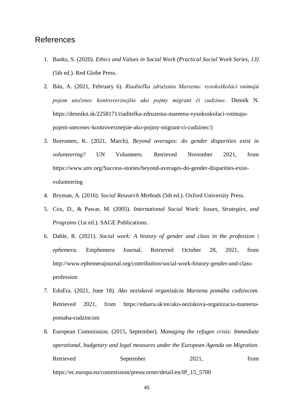# <span id="page-44-0"></span>References

- 1. Banks, S. (2020). *Ethics and Values in Social Work (Practical Social Work Series, 13)* (5th ed.). Red Globe Press.
- 2. Bán, A. (2021, February 6). *Riaditeľka združenia Mareena: vysokoškoláci vnímajú pojem utečenec kontroverznejšie ako pojmy migrant či cudzinec*. Denník N. https://dennikn.sk/2258171/riaditelka-zdruzenia-mareena-vysokoskolaci-vnimajupojem-utecenec-kontroverznejsie-ako-pojmy-migrant-ci-cudzinec/)
- 3. Borromeo, K. (2021, March). *Beyond averages: do gender disparities exist in volunteering?* UN Volunteers. Retrieved November 2021, from https://www.unv.org/Success-stories/beyond-averages-do-gender-disparities-existvolunteering
- 4. Bryman, A. (2016). *Social Research Methods* (5th ed.). Oxford University Press.
- 5. Cox, D., & Pawar, M. (2005). *International Social Work: Issues, Strategies, and Programs* (1st ed.). SAGE Publications.
- 6. Dahle, R. (2021). *Social work: A history of gender and class in the profession | ephemera*. Emphemera Journal. Retrieved October 28, 2021, from http://www.ephemerajournal.org/contribution/social-work-history-gender-and-classprofession
- 7. EduEra. (2021, June 18). *Ako nezisková organizácia Mareena pomáha cudzincom*. Retrieved 2021, from https://eduera.sk/en/ako-neziskova-organizacia-mareenapomaha-cudzincom
- 8. European Commission. (2015, September). *Managing the refugee crisis: Immediate operational, budgetary and legal measures under the European Agenda on Migration*. Retrieved September 2021, from https://ec.europa.eu/commission/presscorner/detail/en/IP\_15\_5700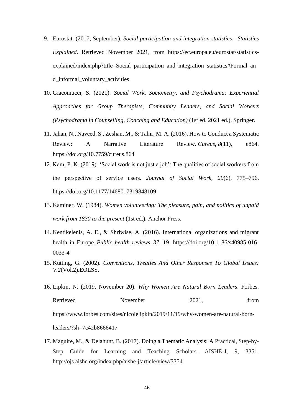- 9. Eurostat. (2017, September). *Social participation and integration statistics - Statistics Explained*. Retrieved November 2021, from https://ec.europa.eu/eurostat/statisticsexplained/index.php?title=Social\_participation\_and\_integration\_statistics#Formal\_an d\_informal\_voluntary\_activities
- 10. Giacomucci, S. (2021). *Social Work, Sociometry, and Psychodrama: Experiential Approaches for Group Therapists, Community Leaders, and Social Workers (Psychodrama in Counselling, Coaching and Education)* (1st ed. 2021 ed.). Springer.
- 11. Jahan, N., Naveed, S., Zeshan, M., & Tahir, M. A. (2016). How to Conduct a Systematic Review: A Narrative Literature Review. *Cureus*, *8*(11), e864. https://doi.org/10.7759/cureus.864
- 12. Kam, P. K. (2019). 'Social work is not just a job': The qualities of social workers from the perspective of service users. *Journal of Social Work*, *20*(6), 775–796. https://doi.org/10.1177/1468017319848109
- 13. Kaminer, W. (1984). *Women volunteering: The pleasure, pain, and politics of unpaid work from 1830 to the present* (1st ed.). Anchor Press.
- 14. Kentikelenis, A. E., & Shriwise, A. (2016). International organizations and migrant health in Europe. *Public health reviews*, *37*, 19. https://doi.org/10.1186/s40985-016- 0033-4
- 15. Kütting, G. (2002). *Conventions, Treaties And Other Responses To Global Issues: V.2*(Vol.2).EOLSS.
- 16. Lipkin, N. (2019, November 20). *Why Women Are Natural Born Leaders*. Forbes. Retrieved November 2021, from https://www.forbes.com/sites/nicolelipkin/2019/11/19/why-women-are-natural-bornleaders/?sh=7c42b8666417
- 17. Maguire, M., & Delahunt, B. (2017). Doing a Thematic Analysis: A Practical, Step-by-Step Guide for Learning and Teaching Scholars. AISHE-J, 9, 3351. http://ojs.aishe.org/index.php/aishe-j/article/view/3354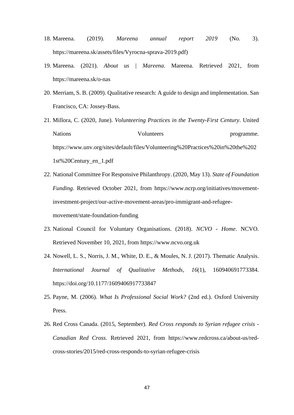- 18. Mareena. (2019). *Mareena annual report 2019* (No. 3). https://mareena.sk/assets/files/Vyrocna-sprava-2019.pdf)
- 19. Mareena. (2021). *About us | Mareena*. Mareena. Retrieved 2021, from https://mareena.sk/o-nas
- 20. Merriam, S. B. (2009). Qualitative research: A guide to design and implementation. San Francisco, CA: Jossey-Bass.
- 21. Millora, C. (2020, June). *Volunteering Practices in the Twenty-First Century*. United Nations Volunteers programme. https://www.unv.org/sites/default/files/Volunteering%20Practices%20in%20the%202 1st%20Century\_en\_1.pdf
- 22. National Committee For Responsive Philanthropy. (2020, May 13). *State of Foundation Funding*. Retrieved October 2021, from https://www.ncrp.org/initiatives/movementinvestment-project/our-active-movement-areas/pro-immigrant-and-refugeemovement/state-foundation-funding
- 23. National Council for Voluntary Organisations. (2018). *NCVO - Home*. NCVO. Retrieved November 10, 2021, from https://www.ncvo.org.uk
- 24. Nowell, L. S., Norris, J. M., White, D. E., & Moules, N. J. (2017). Thematic Analysis. *International Journal of Qualitative Methods*, *16*(1), 160940691773384. https://doi.org/10.1177/1609406917733847
- 25. Payne, M. (2006). *What Is Professional Social Work?* (2nd ed.). Oxford University Press.
- 26. Red Cross Canada. (2015, September). *Red Cross responds to Syrian refugee crisis - Canadian Red Cross*. Retrieved 2021, from https://www.redcross.ca/about-us/redcross-stories/2015/red-cross-responds-to-syrian-refugee-crisis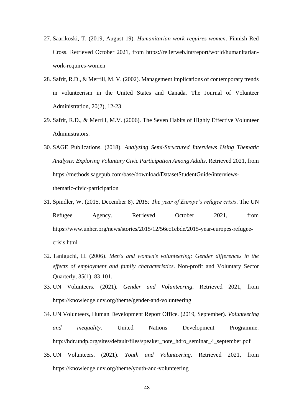- 27. Saarikoski, T. (2019, August 19). *Humanitarian work requires women*. Finnish Red Cross. Retrieved October 2021, from https://reliefweb.int/report/world/humanitarianwork-requires-women
- 28. Safrit, R.D., & Merrill, M. V. (2002). Management implications of contemporary trends in volunteerism in the United States and Canada. The Journal of Volunteer Administration, 20(2), 12-23.
- 29. Safrit, R.D., & Merrill, M.V. (2006). The Seven Habits of Highly Effective Volunteer Administrators.
- 30. SAGE Publications. (2018). *Analysing Semi-Structured Interviews Using Thematic Analysis: Exploring Voluntary Civic Participation Among Adults*. Retrieved 2021, from https://methods.sagepub.com/base/download/DatasetStudentGuide/interviewsthematic-civic-participation
- 31. Spindler, W. (2015, December 8). *2015: The year of Europe's refugee crisis*. The UN Refugee Agency. Retrieved October 2021, from https://www.unhcr.org/news/stories/2015/12/56ec1ebde/2015-year-europes-refugeecrisis.html
- 32. Taniguchi, H. (2006). *Men's and women's volunteering: Gender differences in the effects of employment and family characteristics*. Non-profit and Voluntary Sector Quarterly, 35(1), 83-101.
- 33. UN Volunteers. (2021). *Gender and Volunteering*. Retrieved 2021, from https://knowledge.unv.org/theme/gender-and-volunteering
- 34. UN Volunteers, Human Development Report Office. (2019, September). *Volunteering and inequality*. United Nations Development Programme. http://hdr.undp.org/sites/default/files/speaker\_note\_hdro\_seminar\_4\_september.pdf
- 35. UN Volunteers. (2021). *Youth and Volunteering*. Retrieved 2021, from https://knowledge.unv.org/theme/youth-and-volunteering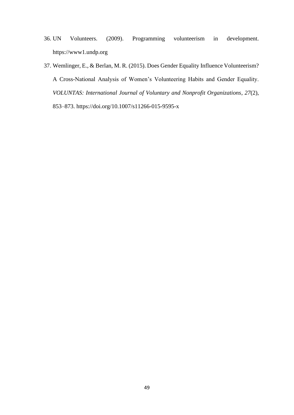- 36. UN Volunteers. (2009). Programming volunteerism in development. https://www1.undp.org
- 37. Wemlinger, E., & Berlan, M. R. (2015). Does Gender Equality Influence Volunteerism? A Cross-National Analysis of Women's Volunteering Habits and Gender Equality. *VOLUNTAS: International Journal of Voluntary and Nonprofit Organizations*, *27*(2), 853–873. https://doi.org/10.1007/s11266-015-9595-x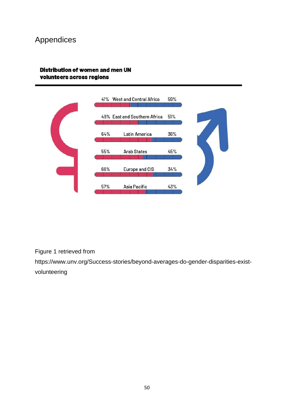# <span id="page-49-0"></span>Appendices

## Distribution of women and men UN volunteers across regions



Figure 1 retrieved from

[https://www.unv.org/Success-stories/beyond-averages-do-gender-disparities-exist](https://www.unv.org/Success-stories/beyond-averages-do-gender-disparities-exist-volunteering)[volunteering](https://www.unv.org/Success-stories/beyond-averages-do-gender-disparities-exist-volunteering)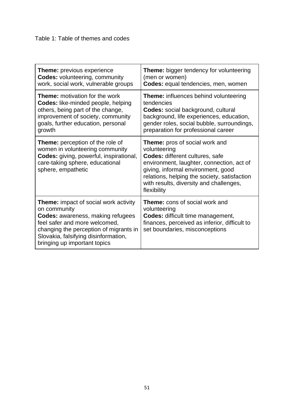| <b>Theme:</b> previous experience                                                                                                                                                                                                                           | <b>Theme:</b> bigger tendency for volunteering                                                                                                                                                                                                                                        |
|-------------------------------------------------------------------------------------------------------------------------------------------------------------------------------------------------------------------------------------------------------------|---------------------------------------------------------------------------------------------------------------------------------------------------------------------------------------------------------------------------------------------------------------------------------------|
| <b>Codes: volunteering, community</b>                                                                                                                                                                                                                       | (men or women)                                                                                                                                                                                                                                                                        |
| work, social work, vulnerable groups                                                                                                                                                                                                                        | Codes: equal tendencies, men, women                                                                                                                                                                                                                                                   |
| <b>Theme:</b> motivation for the work                                                                                                                                                                                                                       | <b>Theme:</b> influences behind volunteering                                                                                                                                                                                                                                          |
| <b>Codes:</b> like-minded people, helping                                                                                                                                                                                                                   | tendencies                                                                                                                                                                                                                                                                            |
| others, being part of the change,                                                                                                                                                                                                                           | <b>Codes:</b> social background, cultural                                                                                                                                                                                                                                             |
| improvement of society, community                                                                                                                                                                                                                           | background, life experiences, education,                                                                                                                                                                                                                                              |
| goals, further education, personal                                                                                                                                                                                                                          | gender roles, social bubble, surroundings,                                                                                                                                                                                                                                            |
| growth                                                                                                                                                                                                                                                      | preparation for professional career                                                                                                                                                                                                                                                   |
| <b>Theme:</b> perception of the role of<br>women in volunteering community<br><b>Codes:</b> giving, powerful, inspirational,<br>care-taking sphere, educational<br>sphere, empathetic                                                                       | <b>Theme:</b> pros of social work and<br>volunteering<br>Codes: different cultures, safe<br>environment, laughter, connection, act of<br>giving, informal environment, good<br>relations, helping the society, satisfaction<br>with results, diversity and challenges,<br>flexibility |
| <b>Theme:</b> impact of social work activity<br>on community<br><b>Codes:</b> awareness, making refugees<br>feel safer and more welcomed,<br>changing the perception of migrants in<br>Slovakia, falsifying disinformation,<br>bringing up important topics | <b>Theme:</b> cons of social work and<br>volunteering<br><b>Codes: difficult time management,</b><br>finances, perceived as inferior, difficult to<br>set boundaries, misconceptions                                                                                                  |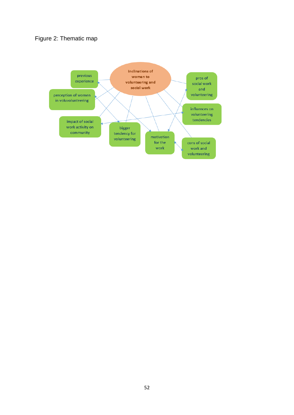# Figure 2: Thematic map

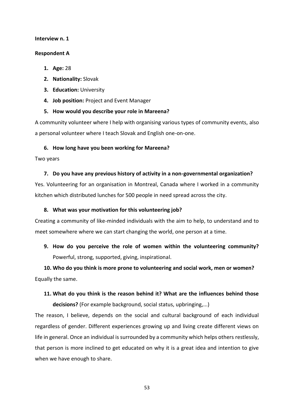#### **Interview n. 1**

### **Respondent A**

- **1. Age:** 28
- **2. Nationality:** Slovak
- **3. Education:** University
- **4. Job position:** Project and Event Manager

## **5. How would you describe your role in Mareena?**

A community volunteer where I help with organising various types of community events, also a personal volunteer where I teach Slovak and English one-on-one.

## **6. How long have you been working for Mareena?**

Two years

## **7. Do you have any previous history of activity in a non-governmental organization?**

Yes. Volunteering for an organisation in Montreal, Canada where I worked in a community kitchen which distributed lunches for 500 people in need spread across the city.

## **8. What was your motivation for this volunteering job?**

Creating a community of like-minded individuals with the aim to help, to understand and to meet somewhere where we can start changing the world, one person at a time.

**9. How do you perceive the role of women within the volunteering community?** Powerful, strong, supported, giving, inspirational.

**10. Who do you think is more prone to volunteering and social work, men or women?**  Equally the same.

**11. What do you think is the reason behind it? What are the influences behind those decisions?** (For example background, social status, upbringing,...)

The reason, I believe, depends on the social and cultural background of each individual regardless of gender. Different experiences growing up and living create different views on life in general. Once an individual is surrounded by a community which helps others restlessly, that person is more inclined to get educated on why it is a great idea and intention to give when we have enough to share.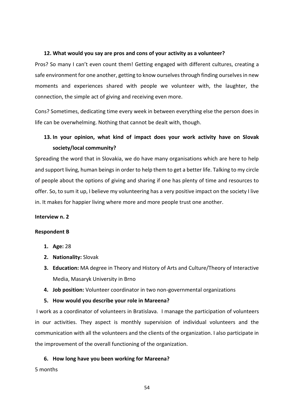#### **12. What would you say are pros and cons of your activity as a volunteer?**

Pros? So many I can't even count them! Getting engaged with different cultures, creating a safe environment for one another, getting to know ourselves through finding ourselves in new moments and experiences shared with people we volunteer with, the laughter, the connection, the simple act of giving and receiving even more.

Cons? Sometimes, dedicating time every week in between everything else the person does in life can be overwhelming. Nothing that cannot be dealt with, though.

# **13. In your opinion, what kind of impact does your work activity have on Slovak society/local community?**

Spreading the word that in Slovakia, we do have many organisations which are here to help and support living, human beings in order to help them to get a better life. Talking to my circle of people about the options of giving and sharing if one has plenty of time and resources to offer. So, to sum it up, I believe my volunteering has a very positive impact on the society I live in. It makes for happier living where more and more people trust one another.

#### **Interview n. 2**

#### **Respondent B**

- **1. Age:** 28
- **2. Nationality:** Slovak
- **3. Education:** MA degree in Theory and History of Arts and Culture/Theory of Interactive Media, Masaryk University in Brno
- **4. Job position:** Volunteer coordinator in two non-governmental organizations

### **5. How would you describe your role in Mareena?**

I work as a coordinator of volunteers in Bratislava.I manage the participation of volunteers in our activities. They aspect is monthly supervision of individual volunteers and the communication with all the volunteers and the clients of the organization. I also participate in the improvement of the overall functioning of the organization.

### **6. How long have you been working for Mareena?**

5 months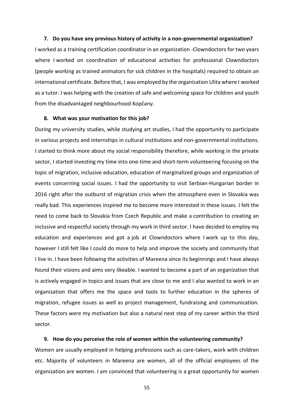#### **7. Do you have any previous history of activity in a non-governmental organization?**

I worked as a training certification coordinator in an organization -Clowndoctors for two years where I worked on coordination of educational activities for professional Clowndoctors (people working as trained animators for sick children in the hospitals) required to obtain an international certificate. Before that, I was employed by the organization Ulita where I worked as a tutor. I was helping with the creation of safe and welcoming space for children and youth from the disadvantaged neighbourhood Kopčany.

#### **8. What was your motivation for this job?**

During my university studies, while studying art studies, I had the opportunity to participate in various projects and internships in cultural institutions and non-governmental institutions. I started to think more about my social responsibility therefore, while working in the private sector, I started investing my time into one-time and short-term volunteering focusing on the topic of migration, inclusive education, education of marginalized groups and organization of events concerning social issues. I had the opportunity to visit Serbian-Hungarian border in 2016 right after the outburst of migration crisis when the atmosphere even in Slovakia was really bad. This experiences inspired me to become more interested in these issues. I felt the need to come back to Slovakia from Czech Republic and make a contribution to creating an inclusive and respectful society through my work in third sector. I have decided to employ my education and experiences and got a job at Clowndoctors where I work up to this day, however I still felt like I could do more to help and improve the society and community that I live in. I have been following the activities of Mareena since its beginnings and I have always found their visions and aims very likeable. I wanted to become a part of an organization that is actively engaged in topics and issues that are close to me and I also wanted to work in an organization that offers me the space and tools to further education in the spheres of migration, refugee issues as well as project management, fundraising and communication. These factors were my motivation but also a natural next step of my career within the third sector.

#### **9. How do you perceive the role of women within the volunteering community?**

Women are usually employed in helping professions such as care-takers, work with children etc. Majority of volunteers in Mareena are women, all of the official employees of the organization are women. I am convinced that volunteering is a great opportunity for women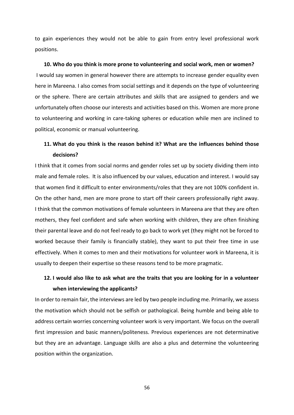to gain experiences they would not be able to gain from entry level professional work positions.

#### **10. Who do you think is more prone to volunteering and social work, men or women?**

I would say women in general however there are attempts to increase gender equality even here in Mareena. I also comes from social settings and it depends on the type of volunteering or the sphere. There are certain attributes and skills that are assigned to genders and we unfortunately often choose our interests and activities based on this. Women are more prone to volunteering and working in care-taking spheres or education while men are inclined to political, economic or manual volunteering.

# **11. What do you think is the reason behind it? What are the influences behind those decisions?**

I think that it comes from social norms and gender roles set up by society dividing them into male and female roles. It is also influenced by our values, education and interest. I would say that women find it difficult to enter environments/roles that they are not 100% confident in. On the other hand, men are more prone to start off their careers professionally right away. I think that the common motivations of female volunteers in Mareena are that they are often mothers, they feel confident and safe when working with children, they are often finishing their parental leave and do not feel ready to go back to work yet (they might not be forced to worked because their family is financially stable), they want to put their free time in use effectively. When it comes to men and their motivations for volunteer work in Mareena, it is usually to deepen their expertise so these reasons tend to be more pragmatic.

# **12. I would also like to ask what are the traits that you are looking for in a volunteer when interviewing the applicants?**

In order to remain fair, the interviews are led by two people including me. Primarily, we assess the motivation which should not be selfish or pathological. Being humble and being able to address certain worries concerning volunteer work is very important. We focus on the overall first impression and basic manners/politeness. Previous experiences are not determinative but they are an advantage. Language skills are also a plus and determine the volunteering position within the organization.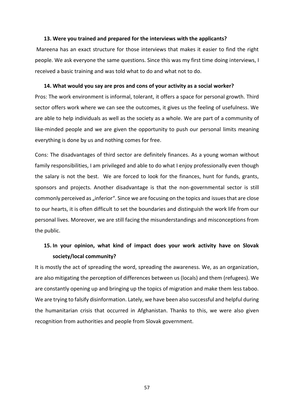#### **13. Were you trained and prepared for the interviews with the applicants?**

Mareena has an exact structure for those interviews that makes it easier to find the right people. We ask everyone the same questions. Since this was my first time doing interviews, I received a basic training and was told what to do and what not to do.

#### **14. What would you say are pros and cons of your activity as a social worker?**

Pros: The work environment is informal, tolerant, it offers a space for personal growth. Third sector offers work where we can see the outcomes, it gives us the feeling of usefulness. We are able to help individuals as well as the society as a whole. We are part of a community of like-minded people and we are given the opportunity to push our personal limits meaning everything is done by us and nothing comes for free.

Cons: The disadvantages of third sector are definitely finances. As a young woman without family responsibilities, I am privileged and able to do what I enjoy professionally even though the salary is not the best. We are forced to look for the finances, hunt for funds, grants, sponsors and projects. Another disadvantage is that the non-governmental sector is still commonly perceived as "inferior". Since we are focusing on the topics and issues that are close to our hearts, it is often difficult to set the boundaries and distinguish the work life from our personal lives. Moreover, we are still facing the misunderstandings and misconceptions from the public.

# **15. In your opinion, what kind of impact does your work activity have on Slovak society/local community?**

It is mostly the act of spreading the word, spreading the awareness. We, as an organization, are also mitigating the perception of differences between us (locals) and them (refugees). We are constantly opening up and bringing up the topics of migration and make them less taboo. We are trying to falsify disinformation. Lately, we have been also successful and helpful during the humanitarian crisis that occurred in Afghanistan. Thanks to this, we were also given recognition from authorities and people from Slovak government.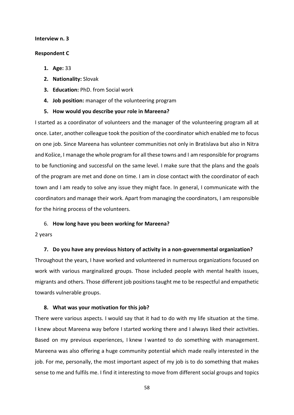#### **Interview n. 3**

#### **Respondent C**

- **1. Age:** 33
- **2. Nationality:** Slovak
- **3. Education:** PhD. from Social work
- **4. Job position:** manager of the volunteering program
- **5. How would you describe your role in Mareena?**

I started as a coordinator of volunteers and the manager of the volunteering program all at once. Later, another colleague took the position of the coordinator which enabled me to focus on one job. Since Mareena has volunteer communities not only in Bratislava but also in Nitra and Košice, I manage the whole program for all these towns and I am responsible for programs to be functioning and successful on the same level. I make sure that the plans and the goals of the program are met and done on time. I am in close contact with the coordinator of each town and I am ready to solve any issue they might face. In general, I communicate with the coordinators and manage their work. Apart from managing the coordinators, I am responsible for the hiring process of the volunteers.

#### 6. **How long have you been working for Mareena?**

#### 2 years

#### **7. Do you have any previous history of activity in a non-governmental organization?**

Throughout the years, I have worked and volunteered in numerous organizations focused on work with various marginalized groups. Those included people with mental health issues, migrants and others. Those different job positions taught me to be respectful and empathetic towards vulnerable groups.

#### **8. What was your motivation for this job?**

There were various aspects. I would say that it had to do with my life situation at the time. I knew about Mareena way before I started working there and I always liked their activities. Based on my previous experiences, I knew I wanted to do something with management. Mareena was also offering a huge community potential which made really interested in the job. For me, personally, the most important aspect of my job is to do something that makes sense to me and fulfils me. I find it interesting to move from different social groups and topics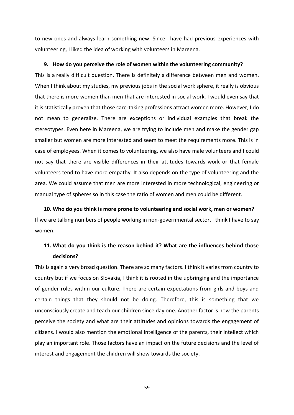to new ones and always learn something new. Since I have had previous experiences with volunteering, I liked the idea of working with volunteers in Mareena.

#### **9. How do you perceive the role of women within the volunteering community?**

This is a really difficult question. There is definitely a difference between men and women. When I think about my studies, my previous jobs in the social work sphere, it really is obvious that there is more women than men that are interested in social work. I would even say that it is statistically proven that those care-taking professions attract women more. However, I do not mean to generalize. There are exceptions or individual examples that break the stereotypes. Even here in Mareena, we are trying to include men and make the gender gap smaller but women are more interested and seem to meet the requirements more. This is in case of employees. When it comes to volunteering, we also have male volunteers and I could not say that there are visible differences in their attitudes towards work or that female volunteers tend to have more empathy. It also depends on the type of volunteering and the area. We could assume that men are more interested in more technological, engineering or manual type of spheres so in this case the ratio of women and men could be different.

**10. Who do you think is more prone to volunteering and social work, men or women?**  If we are talking numbers of people working in non-governmental sector, I think I have to say women.

# **11. What do you think is the reason behind it? What are the influences behind those decisions?**

This is again a very broad question. There are so many factors. I think it varies from country to country but if we focus on Slovakia, I think it is rooted in the upbringing and the importance of gender roles within our culture. There are certain expectations from girls and boys and certain things that they should not be doing. Therefore, this is something that we unconsciously create and teach our children since day one. Another factor is how the parents perceive the society and what are their attitudes and opinions towards the engagement of citizens. I would also mention the emotional intelligence of the parents, their intellect which play an important role. Those factors have an impact on the future decisions and the level of interest and engagement the children will show towards the society.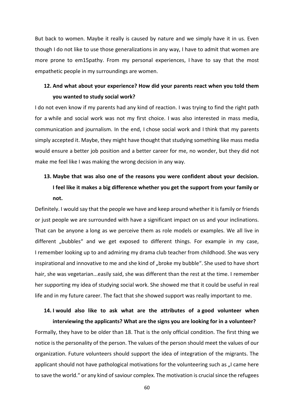But back to women. Maybe it really is caused by nature and we simply have it in us. Even though I do not like to use those generalizations in any way, I have to admit that women are more prone to em15pathy. From my personal experiences, I have to say that the most empathetic people in my surroundings are women.

# **12. And what about your experience? How did your parents react when you told them you wanted to study social work?**

I do not even know if my parents had any kind of reaction. I was trying to find the right path for a while and social work was not my first choice. I was also interested in mass media, communication and journalism. In the end, I chose social work and I think that my parents simply accepted it. Maybe, they might have thought that studying something like mass media would ensure a better job position and a better career for me, no wonder, but they did not make me feel like I was making the wrong decision in any way.

# **13. Maybe that was also one of the reasons you were confident about your decision. I feel like it makes a big difference whether you get the support from your family or not.**

Definitely. I would say that the people we have and keep around whether it is family or friends or just people we are surrounded with have a significant impact on us and your inclinations. That can be anyone a long as we perceive them as role models or examples. We all live in different "bubbles" and we get exposed to different things. For example in my case, I remember looking up to and admiring my drama club teacher from childhood. She was very inspirational and innovative to me and she kind of "broke my bubble". She used to have short hair, she was vegetarian...easily said, she was different than the rest at the time. I remember her supporting my idea of studying social work. She showed me that it could be useful in real life and in my future career. The fact that she showed support was really important to me.

# **14. I would also like to ask what are the attributes of a good volunteer when interviewing the applicants? What are the signs you are looking for in a volunteer?**

Formally, they have to be older than 18. That is the only official condition. The first thing we notice is the personality of the person. The values of the person should meet the values of our organization. Future volunteers should support the idea of integration of the migrants. The applicant should not have pathological motivations for the volunteering such as "I came here to save the world." or any kind of saviour complex. The motivation is crucial since the refugees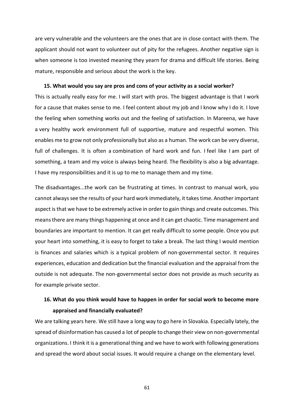are very vulnerable and the volunteers are the ones that are in close contact with them. The applicant should not want to volunteer out of pity for the refugees. Another negative sign is when someone is too invested meaning they yearn for drama and difficult life stories. Being mature, responsible and serious about the work is the key.

#### **15. What would you say are pros and cons of your activity as a social worker?**

This is actually really easy for me. I will start with pros. The biggest advantage is that I work for a cause that makes sense to me. I feel content about my job and I know why I do it. I love the feeling when something works out and the feeling of satisfaction. In Mareena, we have a very healthy work environment full of supportive, mature and respectful women. This enables me to grow not only professionally but also as a human. The work can be very diverse, full of challenges. It is often a combination of hard work and fun. I feel like I am part of something, a team and my voice is always being heard. The flexibility is also a big advantage. I have my responsibilities and it is up to me to manage them and my time.

The disadvantages...the work can be frustrating at times. In contrast to manual work, you cannot always see the results of your hard work immediately, it takes time. Another important aspect is that we have to be extremely active in order to gain things and create outcomes. This means there are many things happening at once and it can get chaotic. Time management and boundaries are important to mention. It can get really difficult to some people. Once you put your heart into something, it is easy to forget to take a break. The last thing I would mention is finances and salaries which is a typical problem of non-governmental sector. It requires experiences, education and dedication but the financial evaluation and the appraisal from the outside is not adequate. The non-governmental sector does not provide as much security as for example private sector.

# **16. What do you think would have to happen in order for social work to become more appraised and financially evaluated?**

We are talking years here. We still have a long way to go here in Slovakia. Especially lately, the spread of disinformation has caused a lot of people to change their view on non-governmental organizations. I think it is a generational thing and we have to work with following generations and spread the word about social issues. It would require a change on the elementary level.